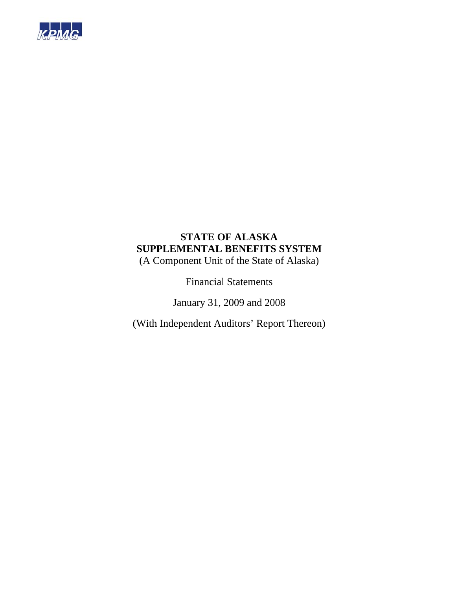

# **STATE OF ALASKA SUPPLEMENTAL BENEFITS SYSTEM**

(A Component Unit of the State of Alaska)

Financial Statements

January 31, 2009 and 2008

(With Independent Auditors' Report Thereon)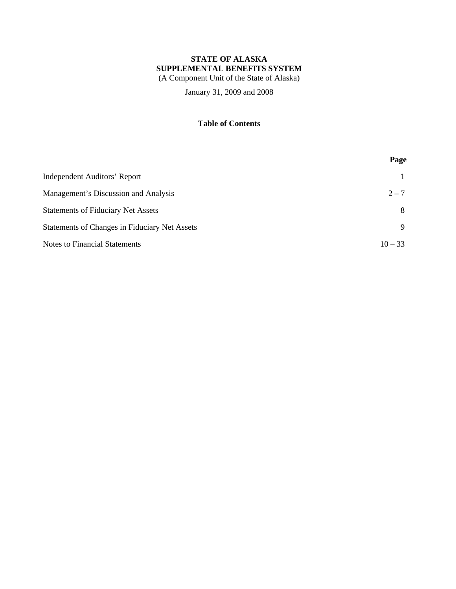# **STATE OF ALASKA SUPPLEMENTAL BENEFITS SYSTEM**

(A Component Unit of the State of Alaska)

January 31, 2009 and 2008

## **Table of Contents**

|                                               | Page      |
|-----------------------------------------------|-----------|
| Independent Auditors' Report                  |           |
| Management's Discussion and Analysis          | $2 - 7$   |
| <b>Statements of Fiduciary Net Assets</b>     | 8         |
| Statements of Changes in Fiduciary Net Assets | 9         |
| <b>Notes to Financial Statements</b>          | $10 - 33$ |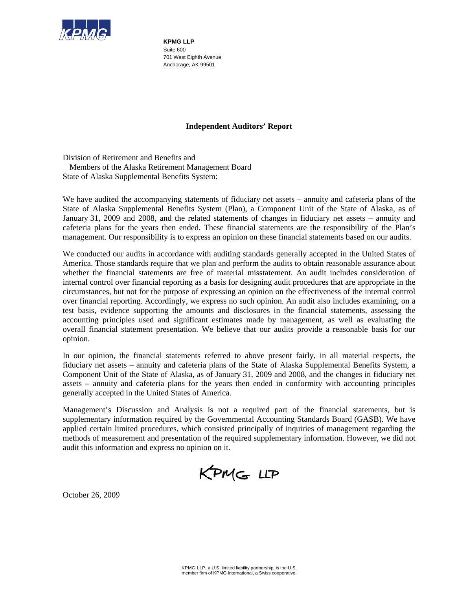

**KPMG LLP**  Suite 600 701 West Eighth Avenue Anchorage, AK 99501

## **Independent Auditors' Report**

Division of Retirement and Benefits and Members of the Alaska Retirement Management Board State of Alaska Supplemental Benefits System:

We have audited the accompanying statements of fiduciary net assets – annuity and cafeteria plans of the State of Alaska Supplemental Benefits System (Plan), a Component Unit of the State of Alaska, as of January 31, 2009 and 2008, and the related statements of changes in fiduciary net assets – annuity and cafeteria plans for the years then ended. These financial statements are the responsibility of the Plan's management. Our responsibility is to express an opinion on these financial statements based on our audits.

We conducted our audits in accordance with auditing standards generally accepted in the United States of America. Those standards require that we plan and perform the audits to obtain reasonable assurance about whether the financial statements are free of material misstatement. An audit includes consideration of internal control over financial reporting as a basis for designing audit procedures that are appropriate in the circumstances, but not for the purpose of expressing an opinion on the effectiveness of the internal control over financial reporting. Accordingly, we express no such opinion. An audit also includes examining, on a test basis, evidence supporting the amounts and disclosures in the financial statements, assessing the accounting principles used and significant estimates made by management, as well as evaluating the overall financial statement presentation. We believe that our audits provide a reasonable basis for our opinion.

In our opinion, the financial statements referred to above present fairly, in all material respects, the fiduciary net assets – annuity and cafeteria plans of the State of Alaska Supplemental Benefits System, a Component Unit of the State of Alaska, as of January 31, 2009 and 2008, and the changes in fiduciary net assets – annuity and cafeteria plans for the years then ended in conformity with accounting principles generally accepted in the United States of America.

Management's Discussion and Analysis is not a required part of the financial statements, but is supplementary information required by the Governmental Accounting Standards Board (GASB). We have applied certain limited procedures, which consisted principally of inquiries of management regarding the methods of measurement and presentation of the required supplementary information. However, we did not audit this information and express no opinion on it.

KPMG LLP

October 26, 2009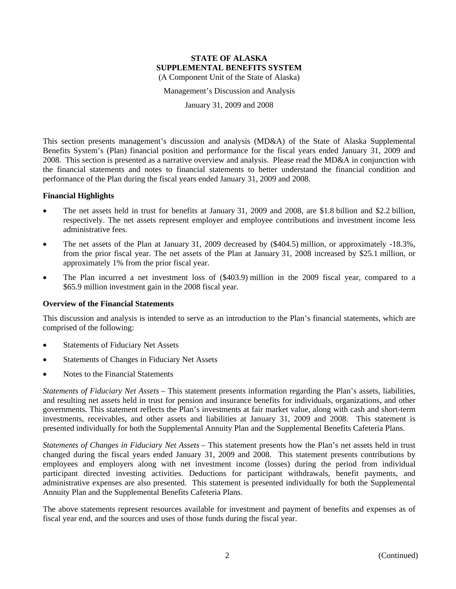Management's Discussion and Analysis

January 31, 2009 and 2008

This section presents management's discussion and analysis (MD&A) of the State of Alaska Supplemental Benefits System's (Plan) financial position and performance for the fiscal years ended January 31, 2009 and 2008. This section is presented as a narrative overview and analysis. Please read the MD&A in conjunction with the financial statements and notes to financial statements to better understand the financial condition and performance of the Plan during the fiscal years ended January 31, 2009 and 2008.

## **Financial Highlights**

- The net assets held in trust for benefits at January 31, 2009 and 2008, are \$1.8 billion and \$2.2 billion, respectively. The net assets represent employer and employee contributions and investment income less administrative fees.
- The net assets of the Plan at January 31, 2009 decreased by (\$404.5) million, or approximately -18.3%, from the prior fiscal year. The net assets of the Plan at January 31, 2008 increased by \$25.1 million, or approximately 1% from the prior fiscal year.
- The Plan incurred a net investment loss of (\$403.9) million in the 2009 fiscal year, compared to a \$65.9 million investment gain in the 2008 fiscal year.

## **Overview of the Financial Statements**

This discussion and analysis is intended to serve as an introduction to the Plan's financial statements, which are comprised of the following:

- Statements of Fiduciary Net Assets
- Statements of Changes in Fiduciary Net Assets
- Notes to the Financial Statements

*Statements of Fiduciary Net Assets* – This statement presents information regarding the Plan's assets, liabilities, and resulting net assets held in trust for pension and insurance benefits for individuals, organizations, and other governments. This statement reflects the Plan's investments at fair market value, along with cash and short-term investments, receivables, and other assets and liabilities at January 31, 2009 and 2008. This statement is presented individually for both the Supplemental Annuity Plan and the Supplemental Benefits Cafeteria Plans.

*Statements of Changes in Fiduciary Net Assets* – This statement presents how the Plan's net assets held in trust changed during the fiscal years ended January 31, 2009 and 2008. This statement presents contributions by employees and employers along with net investment income (losses) during the period from individual participant directed investing activities. Deductions for participant withdrawals, benefit payments, and administrative expenses are also presented. This statement is presented individually for both the Supplemental Annuity Plan and the Supplemental Benefits Cafeteria Plans.

The above statements represent resources available for investment and payment of benefits and expenses as of fiscal year end, and the sources and uses of those funds during the fiscal year.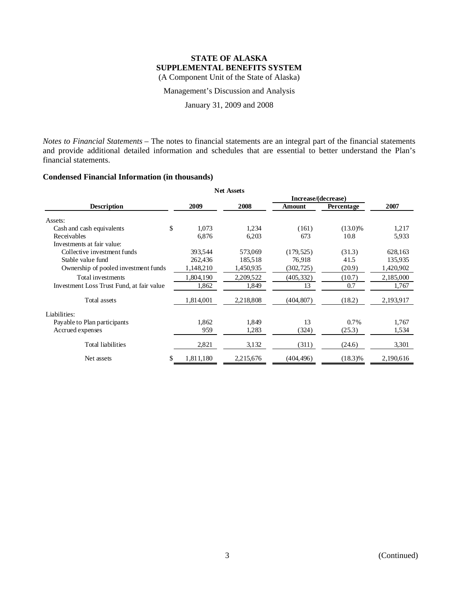Management's Discussion and Analysis

January 31, 2009 and 2008

*Notes to Financial Statements* – The notes to financial statements are an integral part of the financial statements and provide additional detailed information and schedules that are essential to better understand the Plan's financial statements.

## **Condensed Financial Information (in thousands)**

| <b>Net Assets</b>                         |                |           |                     |            |           |  |  |  |
|-------------------------------------------|----------------|-----------|---------------------|------------|-----------|--|--|--|
|                                           |                |           | Increase/(decrease) |            |           |  |  |  |
| <b>Description</b>                        | 2009           | 2008      | <b>Amount</b>       | Percentage | 2007      |  |  |  |
| Assets:                                   |                |           |                     |            |           |  |  |  |
| Cash and cash equivalents                 | \$<br>1,073    | 1,234     | (161)               | $(13.0)\%$ | 1,217     |  |  |  |
| Receivables                               | 6,876          | 6,203     | 673                 | 10.8       | 5,933     |  |  |  |
| Investments at fair value:                |                |           |                     |            |           |  |  |  |
| Collective investment funds               | 393,544        | 573,069   | (179, 525)          | (31.3)     | 628,163   |  |  |  |
| Stable value fund                         | 262,436        | 185,518   | 76.918              | 41.5       | 135,935   |  |  |  |
| Ownership of pooled investment funds      | 1,148,210      | 1,450,935 | (302, 725)          | (20.9)     | 1,420,902 |  |  |  |
| Total investments                         | 1,804,190      | 2,209,522 | (405, 332)          | (10.7)     | 2,185,000 |  |  |  |
| Investment Loss Trust Fund, at fair value | 1,862          | 1,849     | 13                  | 0.7        | 1,767     |  |  |  |
| Total assets                              | 1,814,001      | 2,218,808 | (404, 807)          | (18.2)     | 2,193,917 |  |  |  |
| Liabilities:                              |                |           |                     |            |           |  |  |  |
| Payable to Plan participants              | 1.862          | 1.849     | 13                  | 0.7%       | 1,767     |  |  |  |
| Accrued expenses                          | 959            | 1,283     | (324)               | (25.3)     | 1,534     |  |  |  |
| <b>Total liabilities</b>                  | 2,821          | 3,132     | (311)               | (24.6)     | 3,301     |  |  |  |
| Net assets                                | 1,811,180<br>S | 2,215,676 | (404, 496)          | $(18.3)\%$ | 2,190,616 |  |  |  |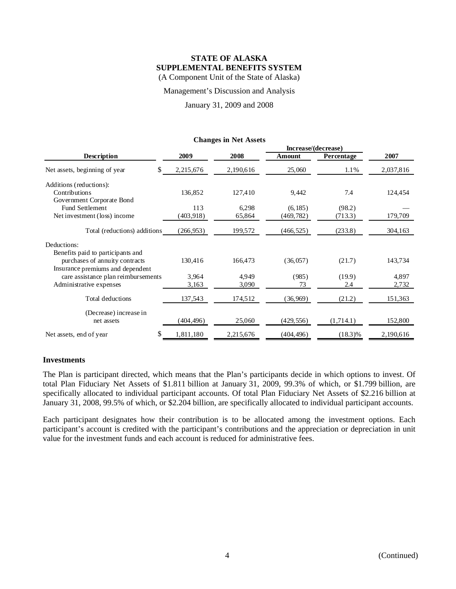Management's Discussion and Analysis

January 31, 2009 and 2008

|                                     |            |           | Increase/(decrease) |            |           |
|-------------------------------------|------------|-----------|---------------------|------------|-----------|
| <b>Description</b>                  | 2009       | 2008      | Amount              | Percentage | 2007      |
| Net assets, beginning of year       | 2,215,676  | 2,190,616 | 25,060              | 1.1%       | 2,037,816 |
| Additions (reductions):             |            |           |                     |            |           |
| Contributions                       | 136,852    | 127,410   | 9,442               | 7.4        | 124,454   |
| Government Corporate Bond           |            |           |                     |            |           |
| <b>Fund Settlement</b>              | 113        | 6,298     | (6, 185)            | (98.2)     |           |
| Net investment (loss) income        | (403, 918) | 65,864    | (469, 782)          | (713.3)    | 179,709   |
| Total (reductions) additions        | (266, 953) | 199,572   | (466, 525)          | (233.8)    | 304,163   |
| Deductions:                         |            |           |                     |            |           |
| Benefits paid to participants and   |            |           |                     |            |           |
| purchases of annuity contracts      | 130,416    | 166,473   | (36, 057)           | (21.7)     | 143,734   |
| Insurance premiums and dependent    |            |           |                     |            |           |
| care assistance plan reimbursements | 3,964      | 4,949     | (985)               | (19.9)     | 4,897     |
| Administrative expenses             | 3,163      | 3,090     | 73                  | 2.4        | 2,732     |
| Total deductions                    | 137,543    | 174,512   | (36, 969)           | (21.2)     | 151,363   |
| (Decrease) increase in              |            |           |                     |            |           |
| net assets                          | (404, 496) | 25,060    | (429, 556)          | (1,714.1)  | 152,800   |
| Net assets, end of year             | 1,811,180  | 2,215,676 | (404, 496)          | $(18.3)\%$ | 2,190,616 |

#### **Changes in Net Assets**

## **Investments**

The Plan is participant directed, which means that the Plan's participants decide in which options to invest. Of total Plan Fiduciary Net Assets of \$1.811 billion at January 31, 2009, 99.3% of which, or \$1.799 billion, are specifically allocated to individual participant accounts. Of total Plan Fiduciary Net Assets of \$2.216 billion at January 31, 2008, 99.5% of which, or \$2.204 billion, are specifically allocated to individual participant accounts.

Each participant designates how their contribution is to be allocated among the investment options. Each participant's account is credited with the participant's contributions and the appreciation or depreciation in unit value for the investment funds and each account is reduced for administrative fees.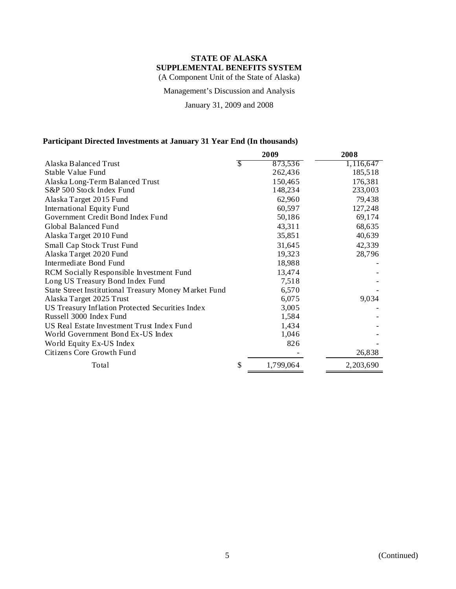Management's Discussion and Analysis

January 31, 2009 and 2008

## **Participant Directed Investments at January 31 Year End (In thousands)**

|                                                       |    | 2009      | 2008      |
|-------------------------------------------------------|----|-----------|-----------|
| Alaska Balanced Trust                                 | S  | 873,536   | 1,116,647 |
| Stable Value Fund                                     |    | 262,436   | 185,518   |
| Alaska Long-Term Balanced Trust                       |    | 150,465   | 176,381   |
| S&P 500 Stock Index Fund                              |    | 148,234   | 233,003   |
| Alaska Target 2015 Fund                               |    | 62,960    | 79,438    |
| International Equity Fund                             |    | 60,597    | 127,248   |
| Government Credit Bond Index Fund                     |    | 50,186    | 69,174    |
| Global Balanced Fund                                  |    | 43,311    | 68,635    |
| Alaska Target 2010 Fund                               |    | 35,851    | 40,639    |
| <b>Small Cap Stock Trust Fund</b>                     |    | 31,645    | 42,339    |
| Alaska Target 2020 Fund                               |    | 19,323    | 28,796    |
| Intermediate Bond Fund                                |    | 18,988    |           |
| RCM Socially Responsible Investment Fund              |    | 13,474    |           |
| Long US Treasury Bond Index Fund                      |    | 7,518     |           |
| State Street Institutional Treasury Money Market Fund |    | 6,570     |           |
| Alaska Target 2025 Trust                              |    | 6,075     | 9,034     |
| US Treasury Inflation Protected Securities Index      |    | 3,005     |           |
| Russell 3000 Index Fund                               |    | 1,584     |           |
| US Real Estate Investment Trust Index Fund            |    | 1,434     |           |
| World Government Bond Ex-US Index                     |    | 1,046     |           |
| World Equity Ex-US Index                              |    | 826       |           |
| Citizens Core Growth Fund                             |    |           | 26,838    |
| Total                                                 | \$ | 1,799,064 | 2,203,690 |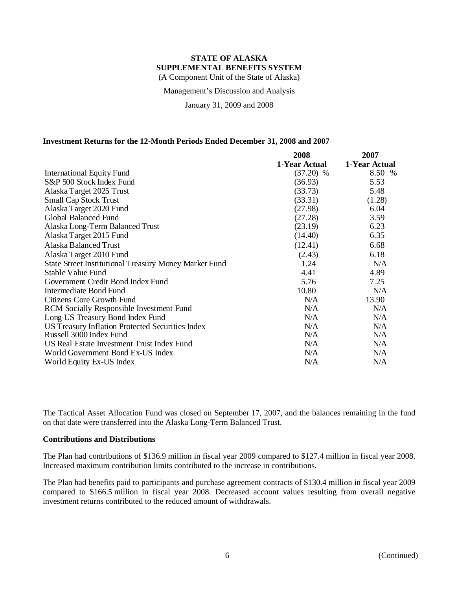Management's Discussion and Analysis

January 31, 2009 and 2008

## **Investment Returns for the 12-Month Periods Ended December 31, 2008 and 2007**

|                                                              | 2008          | 2007          |
|--------------------------------------------------------------|---------------|---------------|
|                                                              | 1-Year Actual | 1-Year Actual |
| International Equity Fund                                    | $(37.20)$ %   | 8.50 %        |
| S&P 500 Stock Index Fund                                     | (36.93)       | 5.53          |
| Alaska Target 2025 Trust                                     | (33.73)       | 5.48          |
| <b>Small Cap Stock Trust</b>                                 | (33.31)       | (1.28)        |
| Alaska Target 2020 Fund                                      | (27.98)       | 6.04          |
| Global Balanced Fund                                         | (27.28)       | 3.59          |
| Alaska Long-Term Balanced Trust                              | (23.19)       | 6.23          |
| Alaska Target 2015 Fund                                      | (14.40)       | 6.35          |
| <b>Alaska Balanced Trust</b>                                 | (12.41)       | 6.68          |
| Alaska Target 2010 Fund                                      | (2.43)        | 6.18          |
| <b>State Street Institutional Treasury Money Market Fund</b> | 1.24          | N/A           |
| Stable Value Fund                                            | 4.41          | 4.89          |
| Government Credit Bond Index Fund                            | 5.76          | 7.25          |
| Intermediate Bond Fund                                       | 10.80         | N/A           |
| Citizens Core Growth Fund                                    | N/A           | 13.90         |
| RCM Socially Responsible Investment Fund                     | N/A           | N/A           |
| Long US Treasury Bond Index Fund                             | N/A           | N/A           |
| US Treasury Inflation Protected Securities Index             | N/A           | N/A           |
| Russell 3000 Index Fund                                      | N/A           | N/A           |
| US Real Estate Investment Trust Index Fund                   | N/A           | N/A           |
| World Government Bond Ex-US Index                            | N/A           | N/A           |
| World Equity Ex-US Index                                     | N/A           | N/A           |

The Tactical Asset Allocation Fund was closed on September 17, 2007, and the balances remaining in the fund on that date were transferred into the Alaska Long-Term Balanced Trust.

## **Contributions and Distributions**

The Plan had contributions of \$136.9 million in fiscal year 2009 compared to \$127.4 million in fiscal year 2008. Increased maximum contribution limits contributed to the increase in contributions.

The Plan had benefits paid to participants and purchase agreement contracts of \$130.4 million in fiscal year 2009 compared to \$166.5 million in fiscal year 2008. Decreased account values resulting from overall negative investment returns contributed to the reduced amount of withdrawals.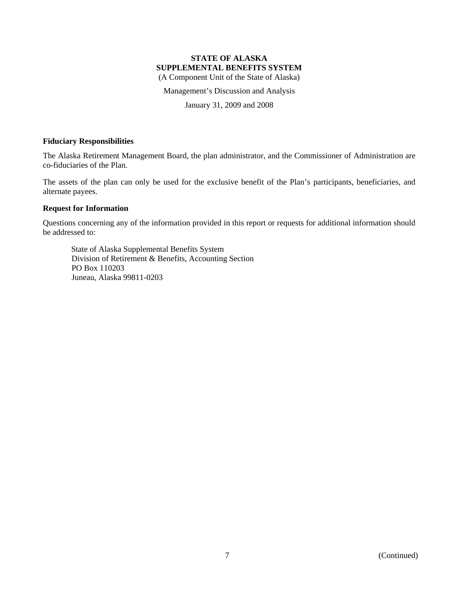# **STATE OF ALASKA SUPPLEMENTAL BENEFITS SYSTEM**

(A Component Unit of the State of Alaska)

Management's Discussion and Analysis

January 31, 2009 and 2008

## **Fiduciary Responsibilities**

The Alaska Retirement Management Board, the plan administrator, and the Commissioner of Administration are co-fiduciaries of the Plan.

The assets of the plan can only be used for the exclusive benefit of the Plan's participants, beneficiaries, and alternate payees.

## **Request for Information**

Questions concerning any of the information provided in this report or requests for additional information should be addressed to:

State of Alaska Supplemental Benefits System Division of Retirement & Benefits, Accounting Section PO Box 110203 Juneau, Alaska 99811-0203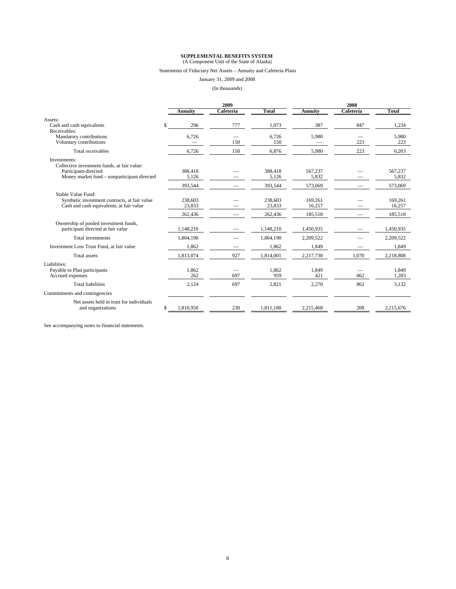## **SUPPLEMENTAL BENEFITS SYSTEM** (A Component Unit of the State of Alaska)

#### Statements of Fiduciary Net Assets – Annuity and Cafeteria Plans

## January 31, 2009 and 2008

(In thousands)

| In thousands) |  |  |
|---------------|--|--|
|---------------|--|--|

|                                                                                                                                    |     | 2009                         |            |                              | 2008                         |            |                              |
|------------------------------------------------------------------------------------------------------------------------------------|-----|------------------------------|------------|------------------------------|------------------------------|------------|------------------------------|
|                                                                                                                                    |     | <b>Annuity</b>               | Cafeteria  | Total                        | <b>Annuity</b>               | Cafeteria  | Total                        |
| Assets:                                                                                                                            |     |                              |            |                              |                              |            |                              |
| Cash and cash equivalents                                                                                                          | \$. | 296                          | 777        | 1,073                        | 387                          | 847        | 1,234                        |
| Receivables:<br>Mandatory contributions<br>Voluntary contributions                                                                 |     | 6,726                        | 150        | 6,726<br>150                 | 5,980                        | 223        | 5,980<br>223                 |
| Total receivables                                                                                                                  |     | 6,726                        | 150        | 6.876                        | 5,980                        | 223        | 6,203                        |
| Investments:<br>Collective investment funds, at fair value:<br>Participant-directed<br>Money market fund – nonparticipant directed |     | 388,418<br>5,126             |            | 388,418<br>5,126             | 567,237<br>5,832             |            | 567.237<br>5,832             |
|                                                                                                                                    |     | 393,544                      |            | 393,544                      | 573,069                      |            | 573,069                      |
| Stable Value Fund:<br>Synthetic investment contracts, at fair value<br>Cash and cash equivalents, at fair value                    |     | 238,603<br>23,833<br>262,436 |            | 238,603<br>23,833<br>262,436 | 169,261<br>16,257<br>185,518 |            | 169.261<br>16,257<br>185,518 |
| Ownership of pooled investment funds,<br>participant directed at fair value                                                        |     | 1,148,210                    |            | 1.148.210                    | 1,450,935                    |            | 1,450,935                    |
| <b>Total investments</b>                                                                                                           |     | 1,804,190                    |            | 1,804,190                    | 2,209,522                    |            | 2,209,522                    |
| Investment Loss Trust Fund, at fair value                                                                                          |     | 1,862                        |            | 1,862                        | 1,849                        |            | 1,849                        |
| <b>Total</b> assets                                                                                                                |     | 1,813,074                    | 927        | 1.814.001                    | 2,217,738                    | 1.070      | 2,218,808                    |
| Liabilities:<br>Payable to Plan participants<br>Accrued expenses<br><b>Total liabilities</b>                                       |     | 1,862<br>262<br>2,124        | 697<br>697 | 1,862<br>959<br>2,821        | 1,849<br>421<br>2,270        | 862<br>862 | 1.849<br>1,283<br>3,132      |
| Commitments and contingencies                                                                                                      |     |                              |            |                              |                              |            |                              |
| Net assets held in trust for individuals<br>and organizations                                                                      | \$  | 1,810,950                    | 230        | 1,811,180                    | 2,215,468                    | 208        | 2,215,676                    |

See accompanying notes to financial statements.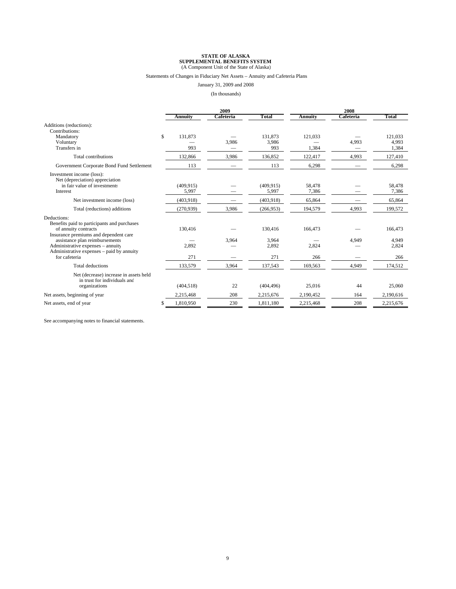#### Statements of Changes in Fiduciary Net Assets – Annuity and Cafeteria Plans

January 31, 2009 and 2008

(In thousands)

|                                                                         | 2009       |                     |                | 2008      |           |  |  |
|-------------------------------------------------------------------------|------------|---------------------|----------------|-----------|-----------|--|--|
| Annuity                                                                 | Cafeteria  | Total               | <b>Annuity</b> | Cafeteria | Total     |  |  |
| Additions (reductions):<br>Contributions:                               |            |                     |                |           |           |  |  |
| \$<br>Mandatory                                                         | 131.873    | 131,873             | 121,033        |           | 121,033   |  |  |
| Voluntary                                                               |            | 3,986<br>3,986      |                | 4,993     | 4,993     |  |  |
| Transfers in                                                            | 993        | 993                 | 1,384          |           | 1,384     |  |  |
| Total contributions                                                     | 132,866    | 3,986<br>136,852    | 122,417        | 4,993     | 127,410   |  |  |
| Government Corporate Bond Fund Settlement                               | 113        | 113                 | 6,298          |           | 6,298     |  |  |
| Investment income (loss):<br>Net (depreciation) appreciation            |            |                     |                |           |           |  |  |
| in fair value of investments                                            | (409, 915) | (409, 915)          | 58,478         |           | 58,478    |  |  |
| Interest                                                                | 5,997      | 5,997               | 7,386          |           | 7,386     |  |  |
| Net investment income (loss)                                            | (403, 918) | (403,918)           | 65,864         |           | 65,864    |  |  |
| Total (reductions) additions                                            | (270, 939) | 3,986<br>(266, 953) | 194,579        | 4,993     | 199,572   |  |  |
| Deductions:                                                             |            |                     |                |           |           |  |  |
| Benefits paid to participants and purchases                             |            |                     |                |           |           |  |  |
| of annuity contracts                                                    | 130,416    | 130,416             | 166,473        |           | 166,473   |  |  |
| Insurance premiums and dependent care<br>assistance plan reimbursements |            | 3,964<br>3,964      |                | 4,949     | 4,949     |  |  |
| Administrative expenses – annuity                                       | 2.892      | 2,892               | 2,824          |           | 2,824     |  |  |
| Administrative expenses – paid by annuity                               |            |                     |                |           |           |  |  |
| for cafeteria                                                           | 271        | 271                 | 266            |           | 266       |  |  |
| <b>Total deductions</b>                                                 | 133,579    | 3,964<br>137,543    | 169,563        | 4,949     | 174,512   |  |  |
| Net (decrease) increase in assets held<br>in trust for individuals and  |            |                     |                |           |           |  |  |
| organizations                                                           | (404, 518) | 22<br>(404, 496)    | 25,016         | 44        | 25,060    |  |  |
| Net assets, beginning of year<br>2,215,468                              |            | 208<br>2,215,676    | 2,190,452      | 164       | 2,190,616 |  |  |
| 1,810,950<br>Net assets, end of year                                    |            | 230<br>1,811,180    | 2,215,468      | 208       | 2,215,676 |  |  |

See accompanying notes to financial statements.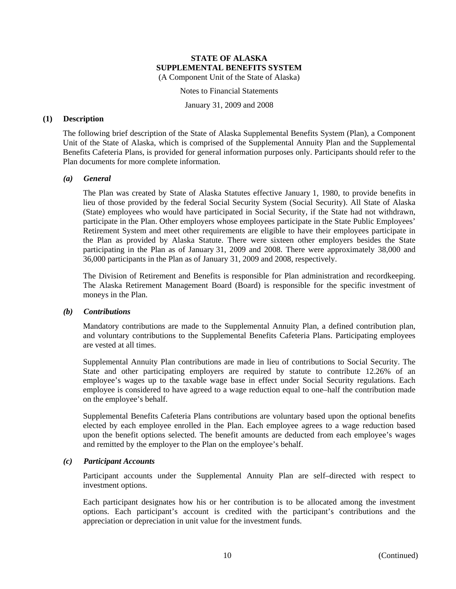Notes to Financial Statements

January 31, 2009 and 2008

## **(1) Description**

The following brief description of the State of Alaska Supplemental Benefits System (Plan), a Component Unit of the State of Alaska, which is comprised of the Supplemental Annuity Plan and the Supplemental Benefits Cafeteria Plans, is provided for general information purposes only. Participants should refer to the Plan documents for more complete information.

## *(a) General*

The Plan was created by State of Alaska Statutes effective January 1, 1980, to provide benefits in lieu of those provided by the federal Social Security System (Social Security). All State of Alaska (State) employees who would have participated in Social Security, if the State had not withdrawn, participate in the Plan. Other employers whose employees participate in the State Public Employees' Retirement System and meet other requirements are eligible to have their employees participate in the Plan as provided by Alaska Statute. There were sixteen other employers besides the State participating in the Plan as of January 31, 2009 and 2008. There were approximately 38,000 and 36,000 participants in the Plan as of January 31, 2009 and 2008, respectively.

The Division of Retirement and Benefits is responsible for Plan administration and recordkeeping. The Alaska Retirement Management Board (Board) is responsible for the specific investment of moneys in the Plan.

## *(b) Contributions*

Mandatory contributions are made to the Supplemental Annuity Plan, a defined contribution plan, and voluntary contributions to the Supplemental Benefits Cafeteria Plans. Participating employees are vested at all times.

Supplemental Annuity Plan contributions are made in lieu of contributions to Social Security. The State and other participating employers are required by statute to contribute 12.26% of an employee's wages up to the taxable wage base in effect under Social Security regulations. Each employee is considered to have agreed to a wage reduction equal to one–half the contribution made on the employee's behalf.

Supplemental Benefits Cafeteria Plans contributions are voluntary based upon the optional benefits elected by each employee enrolled in the Plan. Each employee agrees to a wage reduction based upon the benefit options selected. The benefit amounts are deducted from each employee's wages and remitted by the employer to the Plan on the employee's behalf.

## *(c) Participant Accounts*

Participant accounts under the Supplemental Annuity Plan are self–directed with respect to investment options.

Each participant designates how his or her contribution is to be allocated among the investment options. Each participant's account is credited with the participant's contributions and the appreciation or depreciation in unit value for the investment funds.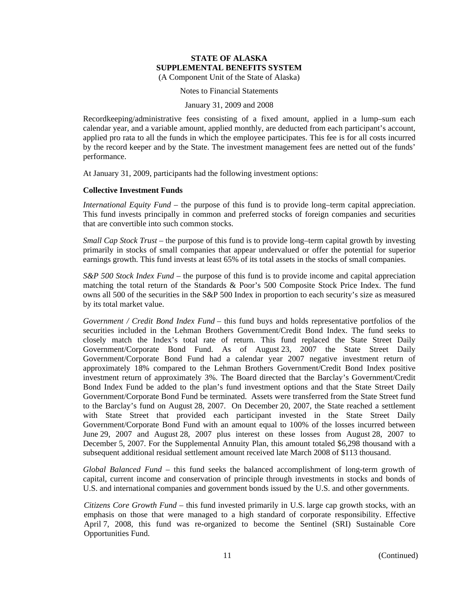Notes to Financial Statements

#### January 31, 2009 and 2008

Recordkeeping/administrative fees consisting of a fixed amount, applied in a lump–sum each calendar year, and a variable amount, applied monthly, are deducted from each participant's account, applied pro rata to all the funds in which the employee participates. This fee is for all costs incurred by the record keeper and by the State. The investment management fees are netted out of the funds' performance.

At January 31, 2009, participants had the following investment options:

## **Collective Investment Funds**

*International Equity Fund* – the purpose of this fund is to provide long–term capital appreciation. This fund invests principally in common and preferred stocks of foreign companies and securities that are convertible into such common stocks.

*Small Cap Stock Trust* – the purpose of this fund is to provide long–term capital growth by investing primarily in stocks of small companies that appear undervalued or offer the potential for superior earnings growth. This fund invests at least 65% of its total assets in the stocks of small companies.

*S&P 500 Stock Index Fund* – the purpose of this fund is to provide income and capital appreciation matching the total return of the Standards & Poor's 500 Composite Stock Price Index. The fund owns all 500 of the securities in the S&P 500 Index in proportion to each security's size as measured by its total market value.

*Government / Credit Bond Index Fund* – this fund buys and holds representative portfolios of the securities included in the Lehman Brothers Government/Credit Bond Index. The fund seeks to closely match the Index's total rate of return. This fund replaced the State Street Daily Government/Corporate Bond Fund. As of August 23, 2007 the State Street Daily Government/Corporate Bond Fund had a calendar year 2007 negative investment return of approximately 18% compared to the Lehman Brothers Government/Credit Bond Index positive investment return of approximately 3%. The Board directed that the Barclay's Government/Credit Bond Index Fund be added to the plan's fund investment options and that the State Street Daily Government/Corporate Bond Fund be terminated. Assets were transferred from the State Street fund to the Barclay's fund on August 28, 2007. On December 20, 2007, the State reached a settlement with State Street that provided each participant invested in the State Street Daily Government/Corporate Bond Fund with an amount equal to 100% of the losses incurred between June 29, 2007 and August 28, 2007 plus interest on these losses from August 28, 2007 to December 5, 2007. For the Supplemental Annuity Plan, this amount totaled \$6,298 thousand with a subsequent additional residual settlement amount received late March 2008 of \$113 thousand.

*Global Balanced Fund* – this fund seeks the balanced accomplishment of long-term growth of capital, current income and conservation of principle through investments in stocks and bonds of U.S. and international companies and government bonds issued by the U.S. and other governments.

*Citizens Core Growth Fund* – this fund invested primarily in U.S. large cap growth stocks, with an emphasis on those that were managed to a high standard of corporate responsibility. Effective April 7, 2008, this fund was re-organized to become the Sentinel (SRI) Sustainable Core Opportunities Fund.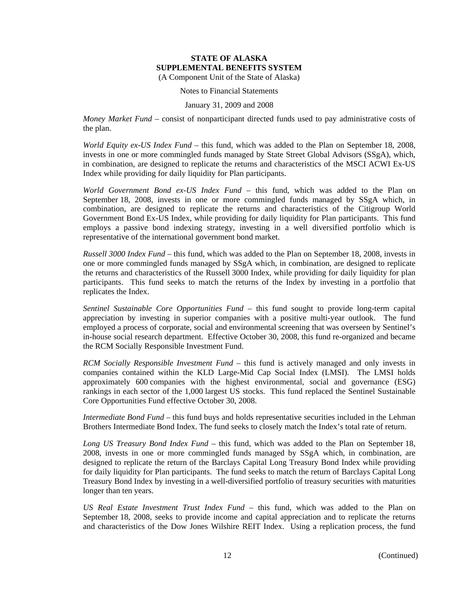Notes to Financial Statements

## January 31, 2009 and 2008

*Money Market Fund* – consist of nonparticipant directed funds used to pay administrative costs of the plan.

*World Equity ex-US Index Fund* – this fund, which was added to the Plan on September 18, 2008, invests in one or more commingled funds managed by State Street Global Advisors (SSgA), which, in combination, are designed to replicate the returns and characteristics of the MSCI ACWI Ex-US Index while providing for daily liquidity for Plan participants.

*World Government Bond ex-US Index Fund* – this fund, which was added to the Plan on September 18, 2008, invests in one or more commingled funds managed by SSgA which, in combination, are designed to replicate the returns and characteristics of the Citigroup World Government Bond Ex-US Index, while providing for daily liquidity for Plan participants. This fund employs a passive bond indexing strategy, investing in a well diversified portfolio which is representative of the international government bond market.

*Russell 3000 Index Fund* – this fund, which was added to the Plan on September 18, 2008, invests in one or more commingled funds managed by SSgA which, in combination, are designed to replicate the returns and characteristics of the Russell 3000 Index, while providing for daily liquidity for plan participants. This fund seeks to match the returns of the Index by investing in a portfolio that replicates the Index.

*Sentinel Sustainable Core Opportunities Fund* – this fund sought to provide long-term capital appreciation by investing in superior companies with a positive multi-year outlook. The fund employed a process of corporate, social and environmental screening that was overseen by Sentinel's in-house social research department. Effective October 30, 2008, this fund re-organized and became the RCM Socially Responsible Investment Fund.

*RCM Socially Responsible Investment Fund* – this fund is actively managed and only invests in companies contained within the KLD Large-Mid Cap Social Index (LMSI). The LMSI holds approximately 600 companies with the highest environmental, social and governance (ESG) rankings in each sector of the 1,000 largest US stocks. This fund replaced the Sentinel Sustainable Core Opportunities Fund effective October 30, 2008.

*Intermediate Bond Fund* – this fund buys and holds representative securities included in the Lehman Brothers Intermediate Bond Index. The fund seeks to closely match the Index's total rate of return.

*Long US Treasury Bond Index Fund* – this fund, which was added to the Plan on September 18, 2008, invests in one or more commingled funds managed by SSgA which, in combination, are designed to replicate the return of the Barclays Capital Long Treasury Bond Index while providing for daily liquidity for Plan participants. The fund seeks to match the return of Barclays Capital Long Treasury Bond Index by investing in a well-diversified portfolio of treasury securities with maturities longer than ten years.

*US Real Estate Investment Trust Index Fund* – this fund, which was added to the Plan on September 18, 2008, seeks to provide income and capital appreciation and to replicate the returns and characteristics of the Dow Jones Wilshire REIT Index. Using a replication process, the fund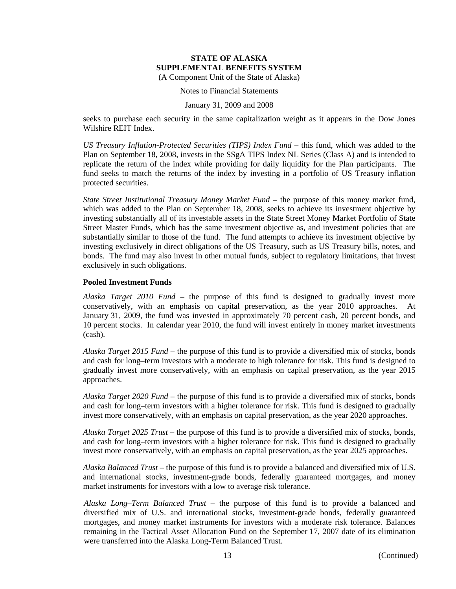#### Notes to Financial Statements

#### January 31, 2009 and 2008

seeks to purchase each security in the same capitalization weight as it appears in the Dow Jones Wilshire REIT Index.

*US Treasury Inflation-Protected Securities (TIPS) Index Fund* – this fund, which was added to the Plan on September 18, 2008, invests in the SSgA TIPS Index NL Series (Class A) and is intended to replicate the return of the index while providing for daily liquidity for the Plan participants. The fund seeks to match the returns of the index by investing in a portfolio of US Treasury inflation protected securities.

*State Street Institutional Treasury Money Market Fund* – the purpose of this money market fund, which was added to the Plan on September 18, 2008, seeks to achieve its investment objective by investing substantially all of its investable assets in the State Street Money Market Portfolio of State Street Master Funds, which has the same investment objective as, and investment policies that are substantially similar to those of the fund. The fund attempts to achieve its investment objective by investing exclusively in direct obligations of the US Treasury, such as US Treasury bills, notes, and bonds. The fund may also invest in other mutual funds, subject to regulatory limitations, that invest exclusively in such obligations.

## **Pooled Investment Funds**

*Alaska Target 2010 Fund* – the purpose of this fund is designed to gradually invest more conservatively, with an emphasis on capital preservation, as the year 2010 approaches. At January 31, 2009, the fund was invested in approximately 70 percent cash, 20 percent bonds, and 10 percent stocks. In calendar year 2010, the fund will invest entirely in money market investments (cash).

*Alaska Target 2015 Fund* – the purpose of this fund is to provide a diversified mix of stocks, bonds and cash for long–term investors with a moderate to high tolerance for risk. This fund is designed to gradually invest more conservatively, with an emphasis on capital preservation, as the year 2015 approaches.

*Alaska Target 2020 Fund* – the purpose of this fund is to provide a diversified mix of stocks, bonds and cash for long–term investors with a higher tolerance for risk. This fund is designed to gradually invest more conservatively, with an emphasis on capital preservation, as the year 2020 approaches.

*Alaska Target 2025 Trust* – the purpose of this fund is to provide a diversified mix of stocks, bonds, and cash for long–term investors with a higher tolerance for risk. This fund is designed to gradually invest more conservatively, with an emphasis on capital preservation, as the year 2025 approaches.

*Alaska Balanced Trust* – the purpose of this fund is to provide a balanced and diversified mix of U.S. and international stocks, investment-grade bonds, federally guaranteed mortgages, and money market instruments for investors with a low to average risk tolerance.

*Alaska Long–Term Balanced Trust* – the purpose of this fund is to provide a balanced and diversified mix of U.S. and international stocks, investment-grade bonds, federally guaranteed mortgages, and money market instruments for investors with a moderate risk tolerance. Balances remaining in the Tactical Asset Allocation Fund on the September 17, 2007 date of its elimination were transferred into the Alaska Long-Term Balanced Trust.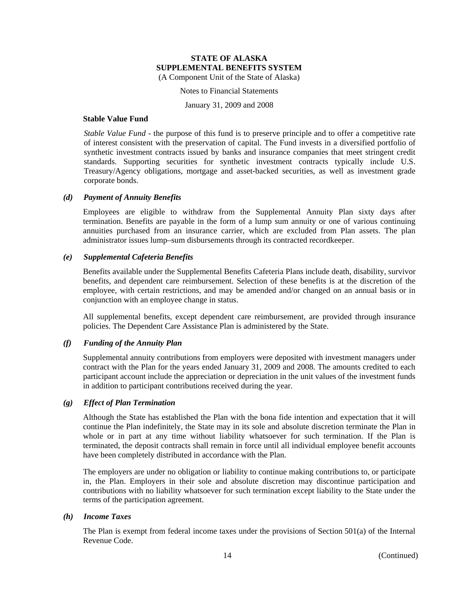Notes to Financial Statements

January 31, 2009 and 2008

## **Stable Value Fund**

*Stable Value Fund* - the purpose of this fund is to preserve principle and to offer a competitive rate of interest consistent with the preservation of capital. The Fund invests in a diversified portfolio of synthetic investment contracts issued by banks and insurance companies that meet stringent credit standards. Supporting securities for synthetic investment contracts typically include U.S. Treasury/Agency obligations, mortgage and asset-backed securities, as well as investment grade corporate bonds.

## *(d) Payment of Annuity Benefits*

Employees are eligible to withdraw from the Supplemental Annuity Plan sixty days after termination. Benefits are payable in the form of a lump sum annuity or one of various continuing annuities purchased from an insurance carrier, which are excluded from Plan assets. The plan administrator issues lump–sum disbursements through its contracted recordkeeper.

## *(e) Supplemental Cafeteria Benefits*

Benefits available under the Supplemental Benefits Cafeteria Plans include death, disability, survivor benefits, and dependent care reimbursement. Selection of these benefits is at the discretion of the employee, with certain restrictions, and may be amended and/or changed on an annual basis or in conjunction with an employee change in status.

All supplemental benefits, except dependent care reimbursement, are provided through insurance policies. The Dependent Care Assistance Plan is administered by the State.

## *(f) Funding of the Annuity Plan*

Supplemental annuity contributions from employers were deposited with investment managers under contract with the Plan for the years ended January 31, 2009 and 2008. The amounts credited to each participant account include the appreciation or depreciation in the unit values of the investment funds in addition to participant contributions received during the year.

## *(g) Effect of Plan Termination*

Although the State has established the Plan with the bona fide intention and expectation that it will continue the Plan indefinitely, the State may in its sole and absolute discretion terminate the Plan in whole or in part at any time without liability whatsoever for such termination. If the Plan is terminated, the deposit contracts shall remain in force until all individual employee benefit accounts have been completely distributed in accordance with the Plan.

The employers are under no obligation or liability to continue making contributions to, or participate in, the Plan. Employers in their sole and absolute discretion may discontinue participation and contributions with no liability whatsoever for such termination except liability to the State under the terms of the participation agreement.

## *(h) Income Taxes*

The Plan is exempt from federal income taxes under the provisions of Section 501(a) of the Internal Revenue Code.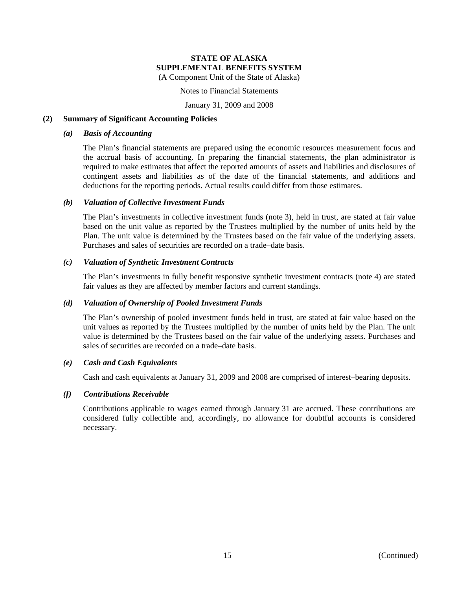#### Notes to Financial Statements

January 31, 2009 and 2008

## **(2) Summary of Significant Accounting Policies**

## *(a) Basis of Accounting*

The Plan's financial statements are prepared using the economic resources measurement focus and the accrual basis of accounting. In preparing the financial statements, the plan administrator is required to make estimates that affect the reported amounts of assets and liabilities and disclosures of contingent assets and liabilities as of the date of the financial statements, and additions and deductions for the reporting periods. Actual results could differ from those estimates.

## *(b) Valuation of Collective Investment Funds*

The Plan's investments in collective investment funds (note 3), held in trust, are stated at fair value based on the unit value as reported by the Trustees multiplied by the number of units held by the Plan. The unit value is determined by the Trustees based on the fair value of the underlying assets. Purchases and sales of securities are recorded on a trade–date basis.

## *(c) Valuation of Synthetic Investment Contracts*

The Plan's investments in fully benefit responsive synthetic investment contracts (note 4) are stated fair values as they are affected by member factors and current standings.

## *(d) Valuation of Ownership of Pooled Investment Funds*

The Plan's ownership of pooled investment funds held in trust, are stated at fair value based on the unit values as reported by the Trustees multiplied by the number of units held by the Plan. The unit value is determined by the Trustees based on the fair value of the underlying assets. Purchases and sales of securities are recorded on a trade–date basis.

## *(e) Cash and Cash Equivalents*

Cash and cash equivalents at January 31, 2009 and 2008 are comprised of interest–bearing deposits.

## *(f) Contributions Receivable*

Contributions applicable to wages earned through January 31 are accrued. These contributions are considered fully collectible and, accordingly, no allowance for doubtful accounts is considered necessary.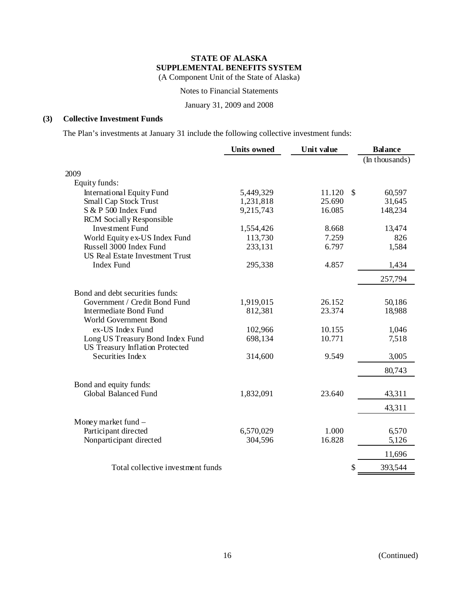Notes to Financial Statements

January 31, 2009 and 2008

## **(3) Collective Investment Funds**

The Plan's investments at January 31 include the following collective investment funds:

|                                        | <b>Units owned</b> | Unit value |               | <b>Balance</b> |
|----------------------------------------|--------------------|------------|---------------|----------------|
|                                        |                    |            |               | (In thousands) |
| 2009                                   |                    |            |               |                |
| Equity funds:                          |                    |            |               |                |
| <b>International Equity Fund</b>       | 5,449,329          | 11.120     | $\mathcal{S}$ | 60,597         |
| <b>Small Cap Stock Trust</b>           | 1,231,818          | 25.690     |               | 31,645         |
| S & P 500 Index Fund                   | 9,215,743          | 16.085     |               | 148,234        |
| <b>RCM</b> Socially Responsible        |                    |            |               |                |
| <b>Investment Fund</b>                 | 1,554,426          | 8.668      |               | 13,474         |
| World Equity ex-US Index Fund          | 113,730            | 7.259      |               | 826            |
| Russell 3000 Index Fund                | 233,131            | 6.797      |               | 1,584          |
| <b>US Real Estate Investment Trust</b> |                    |            |               |                |
| <b>Index Fund</b>                      | 295,338            | 4.857      |               | 1,434          |
|                                        |                    |            |               | 257,794        |
| Bond and debt securities funds:        |                    |            |               |                |
| Government / Credit Bond Fund          | 1,919,015          | 26.152     |               | 50,186         |
| Intermediate Bond Fund                 | 812,381            | 23.374     |               | 18,988         |
| World Government Bond                  |                    |            |               |                |
| ex-US Index Fund                       | 102,966            | 10.155     |               | 1,046          |
| Long US Treasury Bond Index Fund       | 698,134            | 10.771     |               | 7,518          |
| US Treasury Inflation Protected        |                    |            |               |                |
| Securities Index                       | 314,600            | 9.549      |               | 3,005          |
|                                        |                    |            |               | 80,743         |
| Bond and equity funds:                 |                    |            |               |                |
| Global Balanced Fund                   | 1,832,091          | 23.640     |               | 43,311         |
|                                        |                    |            |               | 43,311         |
| Money market fund $-$                  |                    |            |               |                |
| Participant directed                   | 6,570,029          | 1.000      |               | 6,570          |
| Nonparticipant directed                | 304,596            | 16.828     |               | 5,126          |
|                                        |                    |            |               | 11,696         |
| Total collective investment funds      |                    |            | \$            | 393,544        |
|                                        |                    |            |               |                |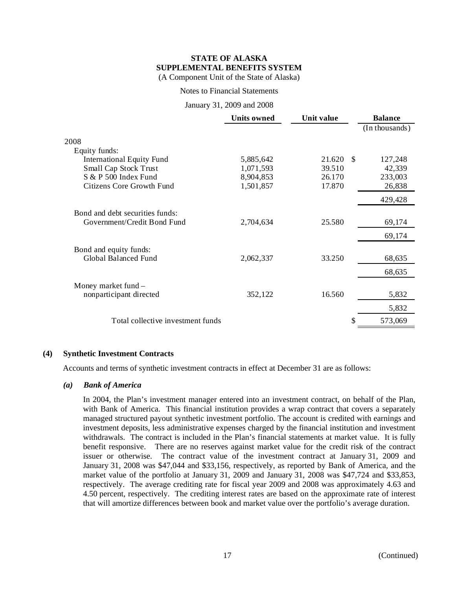## Notes to Financial Statements

## January 31, 2009 and 2008

|                                   | <b>Units owned</b> | Unit value |    | <b>Balance</b> |
|-----------------------------------|--------------------|------------|----|----------------|
|                                   |                    |            |    | (In thousands) |
| 2008                              |                    |            |    |                |
| Equity funds:                     |                    |            |    |                |
| <b>International Equity Fund</b>  | 5,885,642          | 21.620     | -S | 127,248        |
| Small Cap Stock Trust             | 1,071,593          | 39.510     |    | 42,339         |
| S & P 500 Index Fund              | 8,904,853          | 26.170     |    | 233,003        |
| Citizens Core Growth Fund         | 1,501,857          | 17.870     |    | 26,838         |
|                                   |                    |            |    | 429,428        |
| Bond and debt securities funds:   |                    |            |    |                |
| Government/Credit Bond Fund       | 2,704,634          | 25.580     |    | 69,174         |
|                                   |                    |            |    | 69,174         |
| Bond and equity funds:            |                    |            |    |                |
| Global Balanced Fund              | 2,062,337          | 33.250     |    | 68,635         |
|                                   |                    |            |    | 68,635         |
| Money market fund -               |                    |            |    |                |
| nonparticipant directed           | 352,122            | 16.560     |    | 5,832          |
|                                   |                    |            |    | 5,832          |
| Total collective investment funds |                    |            | \$ | 573,069        |
|                                   |                    |            |    |                |

## **(4) Synthetic Investment Contracts**

Accounts and terms of synthetic investment contracts in effect at December 31 are as follows:

## *(a) Bank of America*

In 2004, the Plan's investment manager entered into an investment contract, on behalf of the Plan, with Bank of America. This financial institution provides a wrap contract that covers a separately managed structured payout synthetic investment portfolio. The account is credited with earnings and investment deposits, less administrative expenses charged by the financial institution and investment withdrawals. The contract is included in the Plan's financial statements at market value. It is fully benefit responsive. There are no reserves against market value for the credit risk of the contract issuer or otherwise. The contract value of the investment contract at January 31, 2009 and January 31, 2008 was \$47,044 and \$33,156, respectively, as reported by Bank of America, and the market value of the portfolio at January 31, 2009 and January 31, 2008 was \$47,724 and \$33,853, respectively. The average crediting rate for fiscal year 2009 and 2008 was approximately 4.63 and 4.50 percent, respectively. The crediting interest rates are based on the approximate rate of interest that will amortize differences between book and market value over the portfolio's average duration.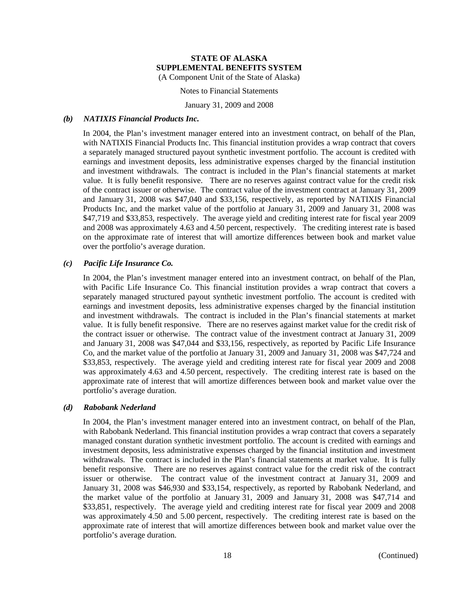Notes to Financial Statements

January 31, 2009 and 2008

## *(b) NATIXIS Financial Products Inc.*

In 2004, the Plan's investment manager entered into an investment contract, on behalf of the Plan, with NATIXIS Financial Products Inc. This financial institution provides a wrap contract that covers a separately managed structured payout synthetic investment portfolio. The account is credited with earnings and investment deposits, less administrative expenses charged by the financial institution and investment withdrawals. The contract is included in the Plan's financial statements at market value. It is fully benefit responsive. There are no reserves against contract value for the credit risk of the contract issuer or otherwise. The contract value of the investment contract at January 31, 2009 and January 31, 2008 was \$47,040 and \$33,156, respectively, as reported by NATIXIS Financial Products Inc, and the market value of the portfolio at January 31, 2009 and January 31, 2008 was \$47,719 and \$33,853, respectively. The average yield and crediting interest rate for fiscal year 2009 and 2008 was approximately 4.63 and 4.50 percent, respectively. The crediting interest rate is based on the approximate rate of interest that will amortize differences between book and market value over the portfolio's average duration.

## *(c) Pacific Life Insurance Co.*

In 2004, the Plan's investment manager entered into an investment contract, on behalf of the Plan, with Pacific Life Insurance Co. This financial institution provides a wrap contract that covers a separately managed structured payout synthetic investment portfolio. The account is credited with earnings and investment deposits, less administrative expenses charged by the financial institution and investment withdrawals. The contract is included in the Plan's financial statements at market value. It is fully benefit responsive. There are no reserves against market value for the credit risk of the contract issuer or otherwise. The contract value of the investment contract at January 31, 2009 and January 31, 2008 was \$47,044 and \$33,156, respectively, as reported by Pacific Life Insurance Co, and the market value of the portfolio at January 31, 2009 and January 31, 2008 was \$47,724 and \$33,853, respectively. The average yield and crediting interest rate for fiscal year 2009 and 2008 was approximately 4.63 and 4.50 percent, respectively. The crediting interest rate is based on the approximate rate of interest that will amortize differences between book and market value over the portfolio's average duration.

## *(d) Rabobank Nederland*

In 2004, the Plan's investment manager entered into an investment contract, on behalf of the Plan, with Rabobank Nederland. This financial institution provides a wrap contract that covers a separately managed constant duration synthetic investment portfolio. The account is credited with earnings and investment deposits, less administrative expenses charged by the financial institution and investment withdrawals. The contract is included in the Plan's financial statements at market value. It is fully benefit responsive. There are no reserves against contract value for the credit risk of the contract issuer or otherwise. The contract value of the investment contract at January 31, 2009 and January 31, 2008 was \$46,930 and \$33,154, respectively, as reported by Rabobank Nederland, and the market value of the portfolio at January 31, 2009 and January 31, 2008 was \$47,714 and \$33,851, respectively. The average yield and crediting interest rate for fiscal year 2009 and 2008 was approximately 4.50 and 5.00 percent, respectively. The crediting interest rate is based on the approximate rate of interest that will amortize differences between book and market value over the portfolio's average duration.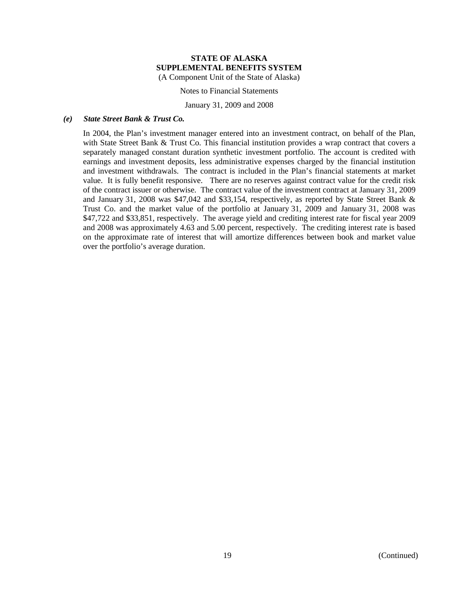Notes to Financial Statements

January 31, 2009 and 2008

## *(e) State Street Bank & Trust Co.*

In 2004, the Plan's investment manager entered into an investment contract, on behalf of the Plan, with State Street Bank & Trust Co. This financial institution provides a wrap contract that covers a separately managed constant duration synthetic investment portfolio. The account is credited with earnings and investment deposits, less administrative expenses charged by the financial institution and investment withdrawals. The contract is included in the Plan's financial statements at market value. It is fully benefit responsive. There are no reserves against contract value for the credit risk of the contract issuer or otherwise. The contract value of the investment contract at January 31, 2009 and January 31, 2008 was \$47,042 and \$33,154, respectively, as reported by State Street Bank & Trust Co. and the market value of the portfolio at January 31, 2009 and January 31, 2008 was \$47,722 and \$33,851, respectively. The average yield and crediting interest rate for fiscal year 2009 and 2008 was approximately 4.63 and 5.00 percent, respectively. The crediting interest rate is based on the approximate rate of interest that will amortize differences between book and market value over the portfolio's average duration.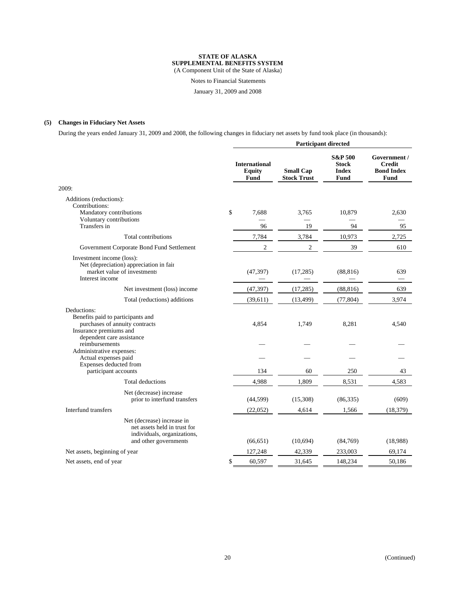#### **STATE OF ALASKA SUPPLEMENTAL BENEFITS SYSTEM**

(A Component Unit of the State of Alaska)

Notes to Financial Statements

January 31, 2009 and 2008

## **(5) Changes in Fiduciary Net Assets**

During the years ended January 31, 2009 and 2008, the following changes in fiduciary net assets by fund took place (in thousands):

|                                                                                                                        | <b>Participant directed</b> |                                                      |                                        |                                                            |                                                                   |
|------------------------------------------------------------------------------------------------------------------------|-----------------------------|------------------------------------------------------|----------------------------------------|------------------------------------------------------------|-------------------------------------------------------------------|
|                                                                                                                        |                             | <b>International</b><br><b>Equity</b><br><b>Fund</b> | <b>Small Cap</b><br><b>Stock Trust</b> | <b>S&amp;P 500</b><br><b>Stock</b><br><b>Index</b><br>Fund | Government /<br><b>Credit</b><br><b>Bond Index</b><br><b>Fund</b> |
| 2009:                                                                                                                  |                             |                                                      |                                        |                                                            |                                                                   |
| Additions (reductions):<br>Contributions:<br>Mandatory contributions<br>Voluntary contributions                        | \$                          | 7,688                                                | 3,765                                  | 10,879                                                     | 2,630                                                             |
| Transfers in                                                                                                           |                             | 96                                                   | 19                                     | 94                                                         | 95                                                                |
| Total contributions                                                                                                    |                             | 7,784                                                | 3,784                                  | 10,973                                                     | 2,725                                                             |
| Government Corporate Bond Fund Settlement                                                                              |                             | $\overline{c}$                                       | $\overline{c}$                         | 39                                                         | 610                                                               |
| Investment income (loss):<br>Net (depreciation) appreciation in fair<br>market value of investments<br>Interest income |                             | (47, 397)                                            | (17, 285)                              | (88, 816)                                                  | 639                                                               |
| Net investment (loss) income                                                                                           |                             | (47, 397)                                            | (17, 285)                              | (88, 816)                                                  | 639                                                               |
| Total (reductions) additions                                                                                           |                             | (39,611)                                             | (13, 499)                              | (77, 804)                                                  | 3,974                                                             |
| Deductions:<br>Benefits paid to participants and<br>purchases of annuity contracts<br>Insurance premiums and           |                             | 4,854                                                | 1,749                                  | 8,281                                                      | 4,540                                                             |
| dependent care assistance<br>reimbursements<br>Administrative expenses:                                                |                             |                                                      |                                        |                                                            |                                                                   |
| Actual expenses paid<br>Expenses deducted from<br>participant accounts                                                 |                             | 134                                                  | 60                                     | 250                                                        | 43                                                                |
| Total deductions                                                                                                       |                             | 4,988                                                | 1,809                                  | 8,531                                                      | 4,583                                                             |
| Net (decrease) increase<br>prior to interfund transfers                                                                |                             | (44, 599)                                            | (15,308)                               | (86, 335)                                                  | (609)                                                             |
| Interfund transfers                                                                                                    |                             | (22, 052)                                            | 4,614                                  | 1,566                                                      | (18, 379)                                                         |
| Net (decrease) increase in<br>net assets held in trust for<br>individuals, organizations,<br>and other governments     |                             | (66, 651)                                            | (10,694)                               | (84,769)                                                   | (18,988)                                                          |
| Net assets, beginning of year                                                                                          |                             | 127,248                                              | 42,339                                 | 233,003                                                    | 69,174                                                            |
| Net assets, end of year                                                                                                | \$                          | 60,597                                               | 31,645                                 | 148,234                                                    | 50,186                                                            |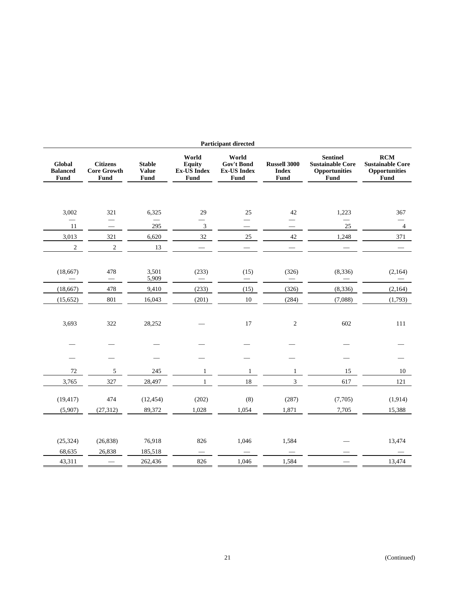|                                          | <b>Participant directed</b>                                       |                                       |                                                             |                                                          |                                             |                                                                            |                                                                |  |  |  |
|------------------------------------------|-------------------------------------------------------------------|---------------------------------------|-------------------------------------------------------------|----------------------------------------------------------|---------------------------------------------|----------------------------------------------------------------------------|----------------------------------------------------------------|--|--|--|
| Global<br><b>Balanced</b><br><b>Fund</b> | <b>Citizens</b><br><b>Core Growth</b><br>Fund                     | <b>Stable</b><br><b>Value</b><br>Fund | World<br><b>Equity</b><br><b>Ex-US Index</b><br><b>Fund</b> | World<br>Gov't Bond<br><b>Ex-US Index</b><br><b>Fund</b> | <b>Russell 3000</b><br><b>Index</b><br>Fund | <b>Sentinel</b><br><b>Sustainable Core</b><br><b>Opportunities</b><br>Fund | RCM<br><b>Sustainable Core</b><br><b>Opportunities</b><br>Fund |  |  |  |
|                                          |                                                                   |                                       |                                                             |                                                          |                                             |                                                                            |                                                                |  |  |  |
| 3,002                                    | 321                                                               | 6,325                                 | 29                                                          | 25                                                       | 42                                          | 1,223                                                                      | 367                                                            |  |  |  |
| $\overline{\phantom{0}}$<br>11           | $\overline{\phantom{0}}$<br>$\hspace{1.0cm} \rule{1.5cm}{0.15cm}$ | 295                                   | $\mathfrak{Z}$                                              | $\overline{\phantom{0}}$                                 |                                             | 25                                                                         | -<br>$\overline{4}$                                            |  |  |  |
| 3,013                                    | 321                                                               | 6,620                                 | 32                                                          | 25                                                       | 42                                          | 1,248                                                                      | 371                                                            |  |  |  |
| $\overline{c}$                           | $\sqrt{2}$                                                        | 13                                    | $\overline{\phantom{0}}$                                    |                                                          |                                             |                                                                            |                                                                |  |  |  |
|                                          |                                                                   |                                       |                                                             |                                                          |                                             |                                                                            |                                                                |  |  |  |
| (18, 667)                                | 478                                                               | 3,501                                 | (233)                                                       | (15)                                                     | (326)                                       | (8, 336)                                                                   | (2,164)                                                        |  |  |  |
|                                          |                                                                   | 5,909                                 |                                                             |                                                          |                                             |                                                                            |                                                                |  |  |  |
| (18, 667)                                | 478                                                               | 9,410                                 | (233)                                                       | (15)                                                     | (326)                                       | (8, 336)                                                                   | (2,164)                                                        |  |  |  |
| (15, 652)                                | 801                                                               | 16,043                                | (201)                                                       | $10\,$                                                   | (284)                                       | (7,088)                                                                    | (1,793)                                                        |  |  |  |
| 3,693                                    | 322                                                               | 28,252                                |                                                             | 17                                                       | $\overline{2}$                              | 602                                                                        | 111                                                            |  |  |  |
|                                          |                                                                   |                                       |                                                             |                                                          |                                             |                                                                            |                                                                |  |  |  |
|                                          |                                                                   |                                       |                                                             |                                                          |                                             |                                                                            |                                                                |  |  |  |
|                                          |                                                                   |                                       |                                                             |                                                          |                                             |                                                                            |                                                                |  |  |  |
| $72\,$                                   | 5                                                                 | 245                                   | 1                                                           | $\mathbf{1}$                                             | $\mathbf{1}$                                | 15                                                                         | 10                                                             |  |  |  |
| 3,765                                    | 327                                                               | 28,497                                | $\mathbf{1}$                                                | 18                                                       | $\overline{3}$                              | 617                                                                        | 121                                                            |  |  |  |
| (19, 417)                                | 474                                                               | (12, 454)                             | (202)                                                       | (8)                                                      | (287)                                       | (7,705)                                                                    | (1, 914)                                                       |  |  |  |
|                                          |                                                                   |                                       | 1,028                                                       | 1,054                                                    | 1,871                                       | 7,705                                                                      |                                                                |  |  |  |
| (5,907)                                  | (27, 312)                                                         | 89,372                                |                                                             |                                                          |                                             |                                                                            | 15,388                                                         |  |  |  |
|                                          |                                                                   |                                       |                                                             |                                                          |                                             |                                                                            |                                                                |  |  |  |
| (25, 324)                                | (26, 838)                                                         | 76,918                                | 826                                                         | 1,046                                                    | 1,584                                       |                                                                            | 13,474                                                         |  |  |  |
| 68,635                                   | 26,838                                                            | 185,518                               |                                                             |                                                          | $\overline{\phantom{m}}$                    |                                                                            |                                                                |  |  |  |
| 43,311                                   |                                                                   | 262,436                               | 826                                                         | 1,046                                                    | 1,584                                       |                                                                            | 13,474                                                         |  |  |  |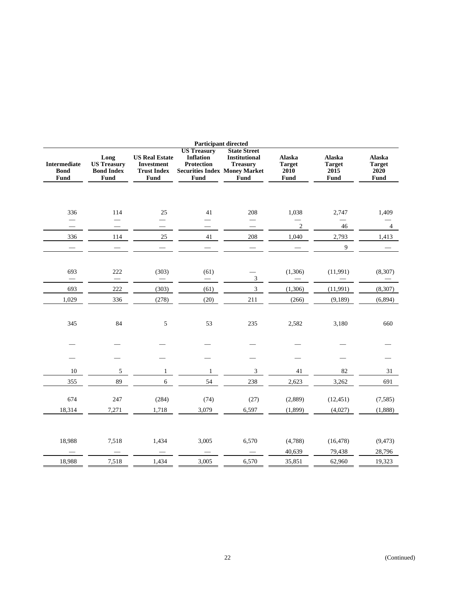| <b>Participant directed</b>                       |                                                         |                                                                          |                                                                                                             |                                                                               |                                         |                                         |                                         |
|---------------------------------------------------|---------------------------------------------------------|--------------------------------------------------------------------------|-------------------------------------------------------------------------------------------------------------|-------------------------------------------------------------------------------|-----------------------------------------|-----------------------------------------|-----------------------------------------|
| <b>Intermediate</b><br><b>Bond</b><br><b>Fund</b> | Long<br><b>US Treasury</b><br><b>Bond Index</b><br>Fund | <b>US Real Estate</b><br><b>Investment</b><br><b>Trust Index</b><br>Fund | <b>US Treasury</b><br><b>Inflation</b><br><b>Protection</b><br><b>Securities Index Money Market</b><br>Fund | <b>State Street</b><br><b>Institutional</b><br><b>Treasury</b><br><b>Fund</b> | Alaska<br><b>Target</b><br>2010<br>Fund | Alaska<br><b>Target</b><br>2015<br>Fund | Alaska<br><b>Target</b><br>2020<br>Fund |
| 336                                               | 114                                                     | 25                                                                       | 41                                                                                                          | 208                                                                           | 1,038                                   | 2,747                                   | 1,409                                   |
|                                                   |                                                         | $\overline{\phantom{0}}$                                                 | $\overline{\phantom{0}}$                                                                                    |                                                                               | $\sqrt{2}$                              | 46                                      | 4                                       |
| 336                                               | 114                                                     | 25                                                                       | 41                                                                                                          | 208                                                                           | 1,040                                   | 2,793                                   | 1,413                                   |
|                                                   |                                                         |                                                                          |                                                                                                             | $\overline{\phantom{m}}$                                                      |                                         | $\overline{9}$                          |                                         |
| 693                                               | 222<br>$\overline{\phantom{m}}$                         | (303)<br>$\overbrace{\phantom{12322111}}$                                | (61)                                                                                                        | 3                                                                             | (1,306)                                 | (11,991)                                | (8,307)                                 |
| 693                                               | 222                                                     | (303)                                                                    | (61)                                                                                                        | 3                                                                             | (1, 306)                                | (11,991)                                | (8,307)                                 |
| 1,029                                             | 336                                                     | (278)                                                                    | (20)                                                                                                        | 211                                                                           | (266)                                   | (9,189)                                 | (6,894)                                 |
| 345                                               | 84                                                      | 5                                                                        | 53                                                                                                          | 235                                                                           | 2,582                                   | 3,180                                   | 660                                     |
|                                                   |                                                         |                                                                          |                                                                                                             |                                                                               |                                         |                                         |                                         |
| 10                                                | $\sqrt{5}$                                              | $\mathbf{1}$                                                             | $\mathbf{1}$                                                                                                | $\mathfrak{Z}$                                                                | 41                                      | 82                                      | 31                                      |
| 355                                               | 89                                                      | $\overline{6}$                                                           | 54                                                                                                          | 238                                                                           | 2,623                                   | 3,262                                   | 691                                     |
| 674<br>18,314                                     | 247<br>7,271                                            | (284)<br>1,718                                                           | (74)<br>3,079                                                                                               | (27)<br>6,597                                                                 | (2,889)<br>(1,899)                      | (12, 451)<br>(4,027)                    | (7,585)<br>(1,888)                      |
| 18,988                                            | 7,518                                                   | 1,434                                                                    | 3,005                                                                                                       | 6,570                                                                         | (4,788)<br>40,639                       | (16, 478)<br>79,438                     | (9, 473)<br>28,796                      |
| 18,988                                            | 7,518                                                   | 1,434                                                                    | 3,005                                                                                                       | 6,570                                                                         | 35,851                                  | 62,960                                  | 19,323                                  |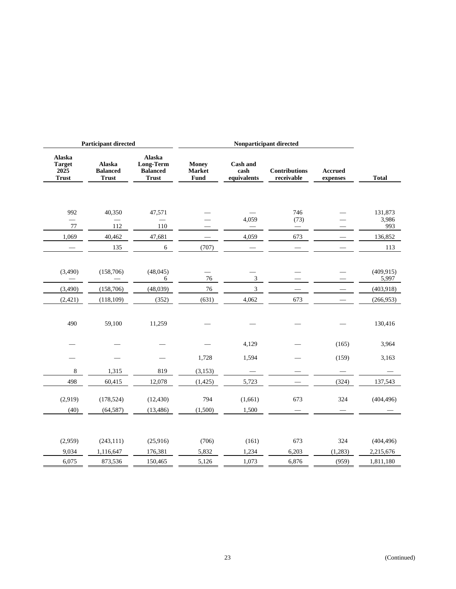| <b>Participant directed</b>                     |                                           |                                                        | Nonparticipant directed               |                                        |                                    |                     |              |
|-------------------------------------------------|-------------------------------------------|--------------------------------------------------------|---------------------------------------|----------------------------------------|------------------------------------|---------------------|--------------|
| Alaska<br><b>Target</b><br>2025<br><b>Trust</b> | Alaska<br><b>Balanced</b><br><b>Trust</b> | Alaska<br>Long-Term<br><b>Balanced</b><br><b>Trust</b> | <b>Money</b><br><b>Market</b><br>Fund | <b>Cash and</b><br>cash<br>equivalents | <b>Contributions</b><br>receivable | Accrued<br>expenses | <b>Total</b> |
|                                                 |                                           |                                                        |                                       |                                        |                                    |                     |              |
| 992                                             | 40,350                                    | 47,571                                                 |                                       |                                        | 746                                |                     | 131,873      |
| $\overline{\phantom{0}}$<br>77                  | 112                                       | $\overline{\phantom{0}}$<br>110                        |                                       | 4,059                                  | (73)                               |                     | 3,986<br>993 |
| 1,069                                           | 40,462                                    | 47,681                                                 |                                       | 4,059                                  | 673                                |                     | 136,852      |
|                                                 | 135                                       | 6                                                      | (707)                                 |                                        |                                    |                     | 113          |
|                                                 |                                           |                                                        |                                       |                                        |                                    |                     |              |
| (3,490)                                         | (158,706)                                 | (48, 045)                                              |                                       |                                        |                                    |                     | (409, 915)   |
|                                                 |                                           | 6                                                      | 76                                    | $\mathfrak z$                          |                                    |                     | 5,997        |
| (3,490)                                         | (158, 706)                                | (48,039)                                               | 76                                    | 3                                      |                                    |                     | (403, 918)   |
| (2,421)                                         | (118, 109)                                | (352)                                                  | (631)                                 | 4,062                                  | 673                                |                     | (266,953)    |
|                                                 |                                           |                                                        |                                       |                                        |                                    |                     |              |
| 490                                             | 59,100                                    | 11,259                                                 |                                       |                                        |                                    |                     | 130,416      |
|                                                 |                                           |                                                        |                                       |                                        |                                    |                     |              |
|                                                 |                                           |                                                        |                                       | 4,129                                  |                                    | (165)               | 3,964        |
|                                                 |                                           |                                                        | 1,728                                 | 1,594                                  |                                    | (159)               | 3,163        |
| $\,8\,$                                         | 1,315                                     | 819                                                    | (3, 153)                              |                                        |                                    |                     |              |
| 498                                             | 60,415                                    | 12,078                                                 | (1, 425)                              | 5,723                                  |                                    | (324)               | 137,543      |
|                                                 |                                           |                                                        |                                       |                                        |                                    |                     |              |
| (2,919)                                         | (178, 524)                                | (12, 430)                                              | 794                                   | (1,661)                                | 673                                | 324                 | (404, 496)   |
| (40)                                            | (64, 587)                                 | (13, 486)                                              | (1,500)                               | 1,500                                  |                                    |                     |              |
|                                                 |                                           |                                                        |                                       |                                        |                                    |                     |              |
| (2,959)                                         | (243, 111)                                | (25,916)                                               | (706)                                 | (161)                                  | 673                                | 324                 | (404, 496)   |
| 9,034                                           | 1,116,647                                 | 176,381                                                | 5,832                                 | 1,234                                  | 6,203                              | (1,283)             | 2,215,676    |
| 6,075                                           | 873,536                                   | 150,465                                                | 5,126                                 | 1,073                                  | 6,876                              | (959)               | 1,811,180    |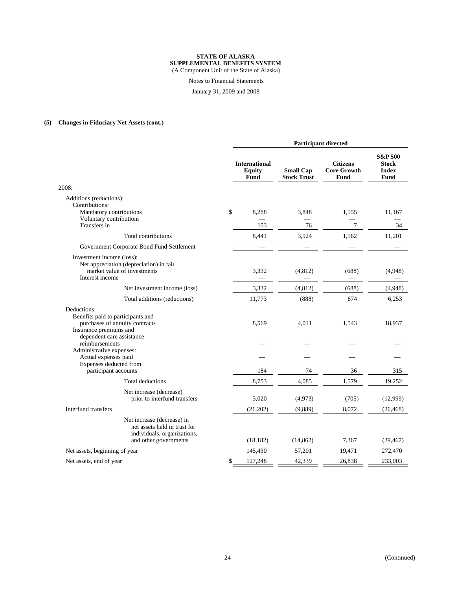#### **STATE OF ALASKA SUPPLEMENTAL BENEFITS SYSTEM**

(A Component Unit of the State of Alaska)

Notes to Financial Statements

January 31, 2009 and 2008

## **(5) Changes in Fiduciary Net Assets (cont.)**

|                                                                                                                        | <b>Participant directed</b> |                                               |                                        |                                               |                                                            |
|------------------------------------------------------------------------------------------------------------------------|-----------------------------|-----------------------------------------------|----------------------------------------|-----------------------------------------------|------------------------------------------------------------|
|                                                                                                                        |                             | <b>International</b><br><b>Equity</b><br>Fund | <b>Small Cap</b><br><b>Stock Trust</b> | <b>Citizens</b><br><b>Core Growth</b><br>Fund | <b>S&amp;P 500</b><br><b>Stock</b><br><b>Index</b><br>Fund |
| 2008:                                                                                                                  |                             |                                               |                                        |                                               |                                                            |
| Additions (reductions):<br>Contributions:<br>Mandatory contributions<br>Voluntary contributions                        | \$                          | 8,288                                         | 3,848                                  | 1,555                                         | 11,167                                                     |
| Transfers in                                                                                                           |                             | 153                                           | 76                                     | 7                                             | 34                                                         |
| Total contributions                                                                                                    |                             | 8,441                                         | 3,924                                  | 1,562                                         | 11,201                                                     |
| Government Corporate Bond Fund Settlement                                                                              |                             |                                               |                                        |                                               |                                                            |
| Investment income (loss):<br>Net appreciation (depreciation) in fair<br>market value of investments<br>Interest income |                             | 3,332                                         | (4,812)                                | (688)                                         | (4,948)                                                    |
| Net investment income (loss)                                                                                           |                             | 3,332                                         | (4, 812)                               | (688)                                         | (4,948)                                                    |
| Total additions (reductions)                                                                                           |                             | 11,773                                        | (888)                                  | 874                                           | 6,253                                                      |
| Deductions:<br>Benefits paid to participants and<br>purchases of annuity contracts<br>Insurance premiums and           |                             | 8,569                                         | 4,011                                  | 1,543                                         | 18,937                                                     |
| dependent care assistance<br>reimbursements<br>Administrative expenses:                                                |                             |                                               |                                        |                                               |                                                            |
| Actual expenses paid<br>Expenses deducted from                                                                         |                             |                                               |                                        |                                               |                                                            |
| participant accounts                                                                                                   |                             | 184                                           | 74                                     | 36                                            | 315                                                        |
| Total deductions                                                                                                       |                             | 8,753                                         | 4,085                                  | 1,579                                         | 19,252                                                     |
| Net increase (decrease)<br>prior to interfund transfers                                                                |                             | 3,020                                         | (4,973)                                | (705)                                         | (12,999)                                                   |
| Interfund transfers                                                                                                    |                             | (21,202)                                      | (9,889)                                | 8,072                                         | (26, 468)                                                  |
| Net increase (decrease) in<br>net assets held in trust for<br>individuals, organizations,<br>and other governments     |                             | (18, 182)                                     | (14, 862)                              | 7,367                                         | (39, 467)                                                  |
| Net assets, beginning of year                                                                                          |                             | 145,430                                       | 57,201                                 | 19,471                                        | 272,470                                                    |
| Net assets, end of year                                                                                                | \$                          | 127,248                                       | 42,339                                 | 26,838                                        | 233,003                                                    |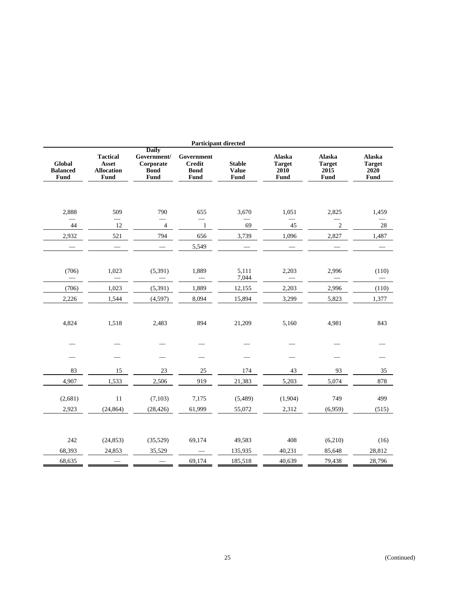|                                   |                                                              |                                                                 |                                                    | <b>Participant directed</b>           |                                                |                                         |                                         |
|-----------------------------------|--------------------------------------------------------------|-----------------------------------------------------------------|----------------------------------------------------|---------------------------------------|------------------------------------------------|-----------------------------------------|-----------------------------------------|
| Global<br><b>Balanced</b><br>Fund | <b>Tactical</b><br><b>Asset</b><br><b>Allocation</b><br>Fund | <b>Daily</b><br>Government/<br>Corporate<br><b>Bond</b><br>Fund | Government<br><b>Credit</b><br><b>Bond</b><br>Fund | <b>Stable</b><br><b>Value</b><br>Fund | <b>Alaska</b><br><b>Target</b><br>2010<br>Fund | Alaska<br><b>Target</b><br>2015<br>Fund | Alaska<br><b>Target</b><br>2020<br>Fund |
| 2,888                             | 509<br>$\qquad \qquad$                                       | 790<br>÷.                                                       | 655<br>$\overline{\phantom{0}}$                    | 3,670                                 | 1,051<br>$\overline{\phantom{0}}$              | 2,825                                   | 1,459                                   |
| 44                                | 12                                                           | $\overline{\mathbf{4}}$                                         | $\mathbf{1}$                                       | 69                                    | 45                                             | $\sqrt{2}$                              | 28                                      |
| 2,932                             | 521                                                          | 794                                                             | 656                                                | 3,739                                 | 1,096                                          | 2,827                                   | 1,487                                   |
|                                   |                                                              |                                                                 | 5,549                                              |                                       |                                                |                                         |                                         |
| (706)                             | 1,023                                                        | (5,391)                                                         | 1,889                                              | 5,111<br>7,044                        | 2,203                                          | 2,996                                   | (110)                                   |
| (706)                             | 1,023                                                        | (5, 391)                                                        | 1,889                                              | 12,155                                | 2,203                                          | 2,996                                   | (110)                                   |
| 2,226                             | 1,544                                                        | (4, 597)                                                        | 8,094                                              | 15,894                                | 3,299                                          | 5,823                                   | 1,377                                   |
| 4,824                             | 1,518                                                        | 2,483                                                           | 894                                                | 21,209                                | 5,160                                          | 4,981                                   | 843                                     |
|                                   |                                                              |                                                                 |                                                    |                                       |                                                |                                         |                                         |
|                                   |                                                              |                                                                 |                                                    |                                       |                                                |                                         |                                         |
| 83                                | 15                                                           | 23                                                              | 25                                                 | 174                                   | 43                                             | 93                                      | 35                                      |
| 4,907                             | 1,533                                                        | 2,506                                                           | 919                                                | 21,383                                | 5,203                                          | 5,074                                   | 878                                     |
| (2,681)                           | 11                                                           | (7, 103)                                                        | 7,175                                              | (5,489)                               | (1,904)                                        | 749                                     | 499                                     |
| 2,923                             | (24, 864)                                                    | (28, 426)                                                       | 61,999                                             | 55,072                                | 2,312                                          | (6,959)                                 | (515)                                   |
|                                   |                                                              |                                                                 |                                                    |                                       |                                                |                                         |                                         |
| 242                               | (24, 853)                                                    | (35, 529)                                                       | 69,174                                             | 49,583                                | 408                                            | (6,210)                                 | (16)                                    |
| 68,393                            | 24,853                                                       | 35,529                                                          |                                                    | 135,935                               | 40,231                                         | 85,648                                  | 28,812                                  |
| 68,635                            |                                                              |                                                                 | 69,174                                             | 185,518                               | 40,639                                         | 79,438                                  | 28,796                                  |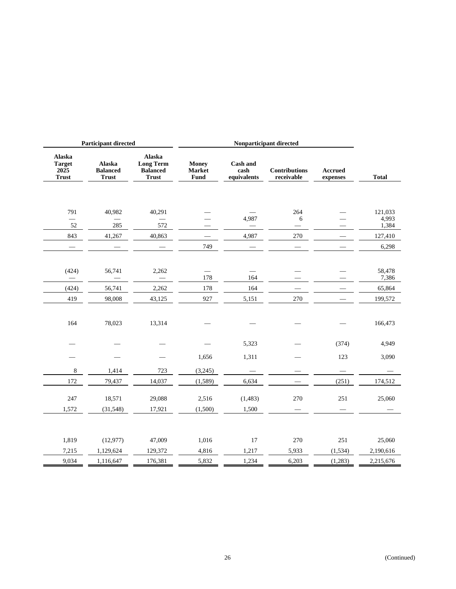| <b>Participant directed</b>                     |                                           |                                                               | Nonparticipant directed        |                                        |                                    |                     |                |
|-------------------------------------------------|-------------------------------------------|---------------------------------------------------------------|--------------------------------|----------------------------------------|------------------------------------|---------------------|----------------|
| Alaska<br><b>Target</b><br>2025<br><b>Trust</b> | Alaska<br><b>Balanced</b><br><b>Trust</b> | Alaska<br><b>Long Term</b><br><b>Balanced</b><br><b>Trust</b> | <b>Money</b><br>Market<br>Fund | <b>Cash and</b><br>cash<br>equivalents | <b>Contributions</b><br>receivable | Accrued<br>expenses | <b>Total</b>   |
|                                                 |                                           |                                                               |                                |                                        |                                    |                     |                |
| 791                                             | 40,982                                    | 40,291                                                        |                                |                                        | 264                                |                     | 121,033        |
| 52                                              | 285                                       | 572                                                           |                                | 4,987                                  | 6                                  |                     | 4,993<br>1,384 |
| 843                                             | 41,267                                    | 40,863                                                        |                                | 4,987                                  | 270                                |                     | 127,410        |
| $\qquad \qquad -$                               |                                           |                                                               | 749                            | $\overbrace{\phantom{12333}}$          |                                    |                     | 6,298          |
|                                                 |                                           |                                                               |                                |                                        |                                    |                     |                |
| (424)                                           | 56,741                                    | 2,262                                                         |                                |                                        |                                    |                     | 58,478         |
|                                                 |                                           |                                                               | 178                            | 164                                    |                                    |                     | 7,386          |
| (424)                                           | 56,741                                    | 2,262                                                         | 178                            | 164                                    | $\overline{\phantom{0}}$           |                     | 65,864         |
| 419                                             | 98,008                                    | 43,125                                                        | 927                            | 5,151                                  | 270                                |                     | 199,572        |
|                                                 |                                           |                                                               |                                |                                        |                                    |                     |                |
| 164                                             | 78,023                                    | 13,314                                                        |                                |                                        |                                    |                     | 166,473        |
|                                                 |                                           |                                                               |                                |                                        |                                    |                     |                |
|                                                 |                                           |                                                               |                                | 5,323                                  |                                    | (374)               | 4,949          |
|                                                 |                                           |                                                               | 1,656                          | 1,311                                  |                                    | 123                 | 3,090          |
| 8                                               | 1,414                                     | 723                                                           | (3,245)                        |                                        |                                    |                     |                |
| 172                                             | 79,437                                    | 14,037                                                        | (1, 589)                       | 6,634                                  |                                    | (251)               | 174,512        |
|                                                 |                                           |                                                               |                                |                                        |                                    |                     |                |
| 247                                             | 18,571                                    | 29,088                                                        | 2,516                          | (1, 483)                               | 270                                | 251                 | 25,060         |
| 1,572                                           | (31,548)                                  | 17,921                                                        | (1,500)                        | 1,500                                  |                                    |                     |                |
|                                                 |                                           |                                                               |                                |                                        |                                    |                     |                |
| 1,819                                           | (12, 977)                                 | 47,009                                                        | 1,016                          | 17                                     | 270                                | 251                 | 25,060         |
| 7,215                                           | 1,129,624                                 | 129,372                                                       | 4,816                          | 1,217                                  | 5,933                              | (1, 534)            | 2,190,616      |
| 9,034                                           | 1,116,647                                 | 176,381                                                       | 5,832                          | 1,234                                  | 6,203                              | (1,283)             | 2,215,676      |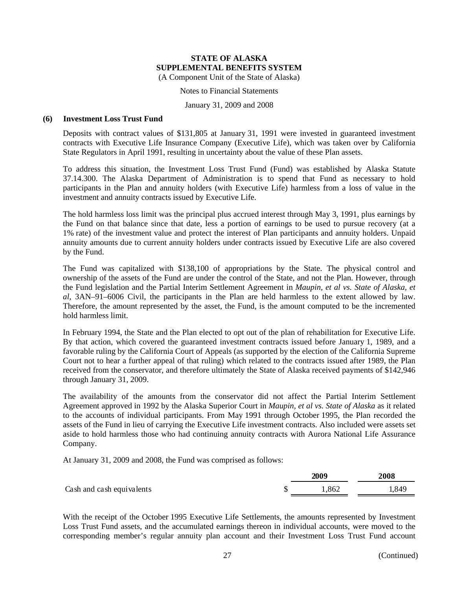#### Notes to Financial Statements

#### January 31, 2009 and 2008

## **(6) Investment Loss Trust Fund**

Deposits with contract values of \$131,805 at January 31, 1991 were invested in guaranteed investment contracts with Executive Life Insurance Company (Executive Life), which was taken over by California State Regulators in April 1991, resulting in uncertainty about the value of these Plan assets.

To address this situation, the Investment Loss Trust Fund (Fund) was established by Alaska Statute 37.14.300. The Alaska Department of Administration is to spend that Fund as necessary to hold participants in the Plan and annuity holders (with Executive Life) harmless from a loss of value in the investment and annuity contracts issued by Executive Life.

The hold harmless loss limit was the principal plus accrued interest through May 3, 1991, plus earnings by the Fund on that balance since that date, less a portion of earnings to be used to pursue recovery (at a 1% rate) of the investment value and protect the interest of Plan participants and annuity holders. Unpaid annuity amounts due to current annuity holders under contracts issued by Executive Life are also covered by the Fund.

The Fund was capitalized with \$138,100 of appropriations by the State. The physical control and ownership of the assets of the Fund are under the control of the State, and not the Plan. However, through the Fund legislation and the Partial Interim Settlement Agreement in *Maupin, et al vs. State of Alaska, et al*, 3AN–91–6006 Civil, the participants in the Plan are held harmless to the extent allowed by law. Therefore, the amount represented by the asset, the Fund, is the amount computed to be the incremented hold harmless limit.

In February 1994, the State and the Plan elected to opt out of the plan of rehabilitation for Executive Life. By that action, which covered the guaranteed investment contracts issued before January 1, 1989, and a favorable ruling by the California Court of Appeals (as supported by the election of the California Supreme Court not to hear a further appeal of that ruling) which related to the contracts issued after 1989, the Plan received from the conservator, and therefore ultimately the State of Alaska received payments of \$142,946 through January 31, 2009.

The availability of the amounts from the conservator did not affect the Partial Interim Settlement Agreement approved in 1992 by the Alaska Superior Court in *Maupin, et al vs. State of Alaska* as it related to the accounts of individual participants. From May 1991 through October 1995, the Plan recorded the assets of the Fund in lieu of carrying the Executive Life investment contracts. Also included were assets set aside to hold harmless those who had continuing annuity contracts with Aurora National Life Assurance Company.

At January 31, 2009 and 2008, the Fund was comprised as follows:

|                           | 2009 |      | 2008 |  |
|---------------------------|------|------|------|--|
| Cash and cash equivalents |      | .862 | .849 |  |

With the receipt of the October 1995 Executive Life Settlements, the amounts represented by Investment Loss Trust Fund assets, and the accumulated earnings thereon in individual accounts, were moved to the corresponding member's regular annuity plan account and their Investment Loss Trust Fund account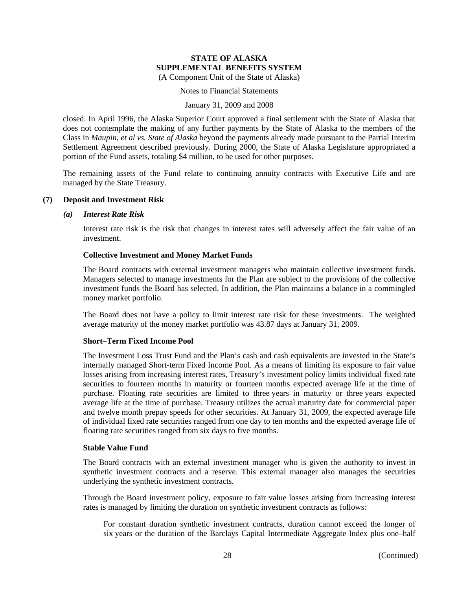## Notes to Financial Statements

#### January 31, 2009 and 2008

closed. In April 1996, the Alaska Superior Court approved a final settlement with the State of Alaska that does not contemplate the making of any further payments by the State of Alaska to the members of the Class in *Maupin, et al vs. State of Alaska* beyond the payments already made pursuant to the Partial Interim Settlement Agreement described previously. During 2000, the State of Alaska Legislature appropriated a portion of the Fund assets, totaling \$4 million, to be used for other purposes.

The remaining assets of the Fund relate to continuing annuity contracts with Executive Life and are managed by the State Treasury.

## **(7) Deposit and Investment Risk**

#### *(a) Interest Rate Risk*

Interest rate risk is the risk that changes in interest rates will adversely affect the fair value of an investment.

## **Collective Investment and Money Market Funds**

The Board contracts with external investment managers who maintain collective investment funds. Managers selected to manage investments for the Plan are subject to the provisions of the collective investment funds the Board has selected. In addition, the Plan maintains a balance in a commingled money market portfolio.

The Board does not have a policy to limit interest rate risk for these investments. The weighted average maturity of the money market portfolio was 43.87 days at January 31, 2009.

## **Short–Term Fixed Income Pool**

The Investment Loss Trust Fund and the Plan's cash and cash equivalents are invested in the State's internally managed Short-term Fixed Income Pool. As a means of limiting its exposure to fair value losses arising from increasing interest rates, Treasury's investment policy limits individual fixed rate securities to fourteen months in maturity or fourteen months expected average life at the time of purchase. Floating rate securities are limited to three years in maturity or three years expected average life at the time of purchase. Treasury utilizes the actual maturity date for commercial paper and twelve month prepay speeds for other securities. At January 31, 2009, the expected average life of individual fixed rate securities ranged from one day to ten months and the expected average life of floating rate securities ranged from six days to five months.

## **Stable Value Fund**

The Board contracts with an external investment manager who is given the authority to invest in synthetic investment contracts and a reserve. This external manager also manages the securities underlying the synthetic investment contracts.

Through the Board investment policy, exposure to fair value losses arising from increasing interest rates is managed by limiting the duration on synthetic investment contracts as follows:

For constant duration synthetic investment contracts, duration cannot exceed the longer of six years or the duration of the Barclays Capital Intermediate Aggregate Index plus one–half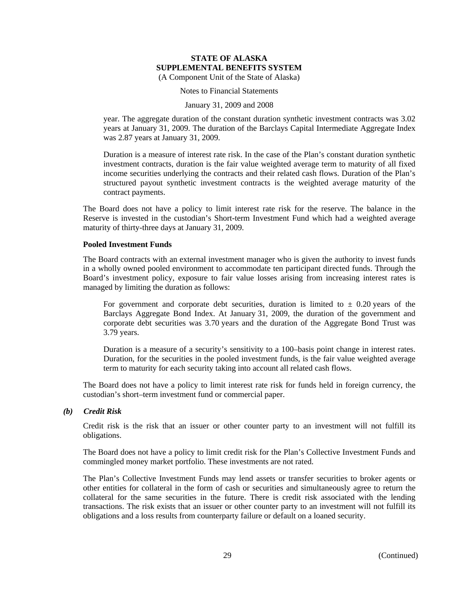Notes to Financial Statements

#### January 31, 2009 and 2008

year. The aggregate duration of the constant duration synthetic investment contracts was 3.02 years at January 31, 2009. The duration of the Barclays Capital Intermediate Aggregate Index was 2.87 years at January 31, 2009.

Duration is a measure of interest rate risk. In the case of the Plan's constant duration synthetic investment contracts, duration is the fair value weighted average term to maturity of all fixed income securities underlying the contracts and their related cash flows. Duration of the Plan's structured payout synthetic investment contracts is the weighted average maturity of the contract payments.

The Board does not have a policy to limit interest rate risk for the reserve. The balance in the Reserve is invested in the custodian's Short-term Investment Fund which had a weighted average maturity of thirty-three days at January 31, 2009.

#### **Pooled Investment Funds**

The Board contracts with an external investment manager who is given the authority to invest funds in a wholly owned pooled environment to accommodate ten participant directed funds. Through the Board's investment policy, exposure to fair value losses arising from increasing interest rates is managed by limiting the duration as follows:

For government and corporate debt securities, duration is limited to  $\pm$  0.20 years of the Barclays Aggregate Bond Index. At January 31, 2009, the duration of the government and corporate debt securities was 3.70 years and the duration of the Aggregate Bond Trust was 3.79 years.

Duration is a measure of a security's sensitivity to a 100–basis point change in interest rates. Duration, for the securities in the pooled investment funds, is the fair value weighted average term to maturity for each security taking into account all related cash flows.

The Board does not have a policy to limit interest rate risk for funds held in foreign currency, the custodian's short–term investment fund or commercial paper.

## *(b) Credit Risk*

Credit risk is the risk that an issuer or other counter party to an investment will not fulfill its obligations.

The Board does not have a policy to limit credit risk for the Plan's Collective Investment Funds and commingled money market portfolio. These investments are not rated.

The Plan's Collective Investment Funds may lend assets or transfer securities to broker agents or other entities for collateral in the form of cash or securities and simultaneously agree to return the collateral for the same securities in the future. There is credit risk associated with the lending transactions. The risk exists that an issuer or other counter party to an investment will not fulfill its obligations and a loss results from counterparty failure or default on a loaned security.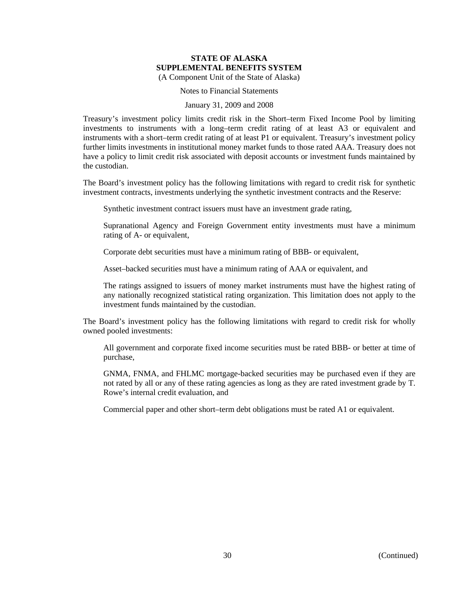Notes to Financial Statements

#### January 31, 2009 and 2008

Treasury's investment policy limits credit risk in the Short–term Fixed Income Pool by limiting investments to instruments with a long–term credit rating of at least A3 or equivalent and instruments with a short–term credit rating of at least P1 or equivalent. Treasury's investment policy further limits investments in institutional money market funds to those rated AAA. Treasury does not have a policy to limit credit risk associated with deposit accounts or investment funds maintained by the custodian.

The Board's investment policy has the following limitations with regard to credit risk for synthetic investment contracts, investments underlying the synthetic investment contracts and the Reserve:

Synthetic investment contract issuers must have an investment grade rating,

Supranational Agency and Foreign Government entity investments must have a minimum rating of A- or equivalent,

Corporate debt securities must have a minimum rating of BBB- or equivalent,

Asset–backed securities must have a minimum rating of AAA or equivalent, and

The ratings assigned to issuers of money market instruments must have the highest rating of any nationally recognized statistical rating organization. This limitation does not apply to the investment funds maintained by the custodian.

The Board's investment policy has the following limitations with regard to credit risk for wholly owned pooled investments:

All government and corporate fixed income securities must be rated BBB- or better at time of purchase,

GNMA, FNMA, and FHLMC mortgage-backed securities may be purchased even if they are not rated by all or any of these rating agencies as long as they are rated investment grade by T. Rowe's internal credit evaluation, and

Commercial paper and other short–term debt obligations must be rated A1 or equivalent.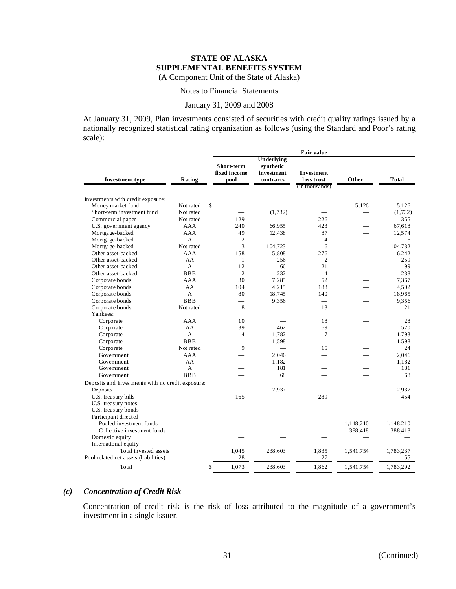#### Notes to Financial Statements

#### January 31, 2009 and 2008

At January 31, 2009, Plan investments consisted of securities with credit quality ratings issued by a nationally recognized statistical rating organization as follows (using the Standard and Poor's rating scale):

|                                                   |                        |                                    |                                                           | <b>Fair value</b>               |                          |                  |
|---------------------------------------------------|------------------------|------------------------------------|-----------------------------------------------------------|---------------------------------|--------------------------|------------------|
| <b>Investment type</b>                            | Rating                 | Short-term<br>fixed income<br>pool | <b>Underlying</b><br>synthetic<br>investment<br>contracts | <b>Investment</b><br>loss trust | Other                    | Total            |
|                                                   |                        |                                    |                                                           | (in thousands)                  |                          |                  |
|                                                   |                        |                                    |                                                           |                                 |                          |                  |
| Investments with credit exposure:                 |                        | \$                                 |                                                           |                                 |                          |                  |
| Money market fund<br>Short-term investment fund   | Not rated<br>Not rated |                                    | (1, 732)                                                  |                                 | 5.126                    | 5,126<br>(1,732) |
| Commercial paper                                  | Not rated              | 129                                |                                                           | 226                             |                          | 355              |
| U.S. government agency                            | AAA                    | 240                                | 66,955                                                    | 423                             |                          | 67.618           |
|                                                   | <b>AAA</b>             | 49                                 |                                                           | 87                              |                          |                  |
| Mortgage-backed                                   |                        |                                    | 12,438                                                    |                                 |                          | 12,574           |
| Mortgage-backed                                   | A                      | $\overline{c}$                     |                                                           | $\overline{4}$                  | $\overline{\phantom{0}}$ | 6                |
| Mortgage-backed                                   | Not rated              | 3                                  | 104,723                                                   | 6                               | $\overline{\phantom{0}}$ | 104,732          |
| Other asset-backed<br>Other asset-backed          | AAA<br>AA              | 158<br>1                           | 5,808<br>256                                              | 276<br>2                        | $\overline{\phantom{0}}$ | 6.242<br>259     |
|                                                   | A                      | 12                                 |                                                           | 21                              |                          | 99               |
| Other asset-backed                                | <b>BBB</b>             | $\overline{2}$                     | 66<br>232                                                 | $\overline{4}$                  |                          | 238              |
| Other asset-backed                                | AAA                    | 30                                 | 7,285                                                     | 52                              |                          |                  |
| Corporate bonds                                   |                        |                                    |                                                           |                                 |                          | 7,367            |
| Corporate bonds                                   | AA                     | 104                                | 4,215<br>18,745                                           | 183                             | $\overline{\phantom{a}}$ | 4,502            |
| Corporate bonds                                   | A                      | 80                                 |                                                           | 140                             | $\overline{\phantom{0}}$ | 18.965           |
| Corporate bonds                                   | <b>BBB</b>             | $\overline{\phantom{0}}$           | 9,356                                                     | ÷.                              | $\overline{\phantom{0}}$ | 9.356            |
| Corporate bonds                                   | Not rated              | 8                                  |                                                           | 13                              |                          | 21               |
| Yankees:                                          | AAA                    |                                    |                                                           |                                 |                          | 28               |
| Corporate                                         |                        | 10<br>39                           | 462                                                       | 18                              |                          |                  |
| Corporate                                         | AA                     |                                    |                                                           | 69                              |                          | 570              |
| Corporate                                         | A                      | $\overline{4}$                     | 1,782                                                     | $\overline{7}$                  | $\overline{\phantom{a}}$ | 1,793            |
| Corporate                                         | <b>BBB</b>             | $\equiv$                           | 1,598                                                     | $\equiv$                        | $\sim$                   | 1,598            |
| Corporate                                         | Not rated              | 9                                  | $\overline{\phantom{0}}$                                  | 15                              |                          | 24               |
| Government                                        | AAA                    |                                    | 2,046                                                     | $\overline{\phantom{a}}$        |                          | 2,046            |
| Government                                        | AA                     |                                    | 1.182                                                     |                                 |                          | 1.182            |
| Government                                        | $\mathsf{A}$           |                                    | 181                                                       |                                 |                          | 181              |
| Government                                        | <b>BBB</b>             |                                    | 68                                                        |                                 |                          | 68               |
| Deposits and Investments with no credit exposure: |                        |                                    |                                                           |                                 |                          |                  |
| Deposits                                          |                        |                                    | 2,937                                                     |                                 |                          | 2.937            |
| U.S. treasury bills                               |                        | 165                                |                                                           | 289                             |                          | 454              |
| U.S. treasury notes                               |                        |                                    |                                                           |                                 |                          |                  |
| U.S. treasury bonds                               |                        |                                    |                                                           |                                 |                          |                  |
| Participant directed                              |                        |                                    |                                                           |                                 |                          |                  |
| Pooled investment funds                           |                        |                                    |                                                           |                                 | 1,148,210                | 1,148,210        |
| Collective investment funds                       |                        |                                    |                                                           | L.                              | 388,418                  | 388,418          |
| Domestic equity                                   |                        |                                    |                                                           |                                 |                          |                  |
| International equity                              |                        |                                    |                                                           |                                 |                          |                  |
| Total invested assets                             |                        | 1,045                              | 238,603                                                   | 1,835                           | 1,541,754                | 1,783,237        |
| Pool related net assets (liabilities)             |                        | 28                                 |                                                           | 27                              |                          | 55               |
| Total                                             |                        | 1,073<br>\$                        | 238,603                                                   | 1,862                           | 1,541,754                | 1,783,292        |

## *(c) Concentration of Credit Risk*

Concentration of credit risk is the risk of loss attributed to the magnitude of a government's investment in a single issuer.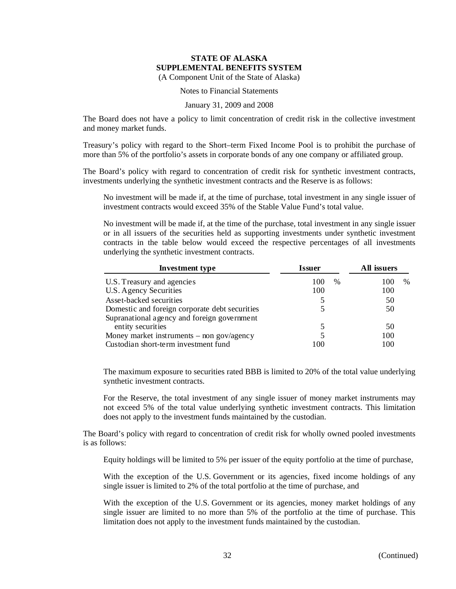## Notes to Financial Statements

#### January 31, 2009 and 2008

The Board does not have a policy to limit concentration of credit risk in the collective investment and money market funds.

Treasury's policy with regard to the Short–term Fixed Income Pool is to prohibit the purchase of more than 5% of the portfolio's assets in corporate bonds of any one company or affiliated group.

The Board's policy with regard to concentration of credit risk for synthetic investment contracts, investments underlying the synthetic investment contracts and the Reserve is as follows:

No investment will be made if, at the time of purchase, total investment in any single issuer of investment contracts would exceed 35% of the Stable Value Fund's total value.

No investment will be made if, at the time of the purchase, total investment in any single issuer or in all issuers of the securities held as supporting investments under synthetic investment contracts in the table below would exceed the respective percentages of all investments underlying the synthetic investment contracts.

| <b>Investment type</b>                         | <b>Issuer</b> | All issuers |  |  |
|------------------------------------------------|---------------|-------------|--|--|
| U.S. Treasury and agencies                     | 100<br>$\%$   | $\%$<br>100 |  |  |
| U.S. Agency Securities                         | 100           | 100         |  |  |
| Asset-backed securities                        |               | 50          |  |  |
| Domestic and foreign corporate debt securities |               | 50          |  |  |
| Supranational agency and foreign government    |               |             |  |  |
| entity securities                              |               | 50          |  |  |
| Money market instruments $-$ non gov/agency    |               | 100         |  |  |
| Custodian short-term investment fund           | 100           | 100         |  |  |

The maximum exposure to securities rated BBB is limited to 20% of the total value underlying synthetic investment contracts.

For the Reserve, the total investment of any single issuer of money market instruments may not exceed 5% of the total value underlying synthetic investment contracts. This limitation does not apply to the investment funds maintained by the custodian.

The Board's policy with regard to concentration of credit risk for wholly owned pooled investments is as follows:

Equity holdings will be limited to 5% per issuer of the equity portfolio at the time of purchase,

With the exception of the U.S. Government or its agencies, fixed income holdings of any single issuer is limited to 2% of the total portfolio at the time of purchase, and

With the exception of the U.S. Government or its agencies, money market holdings of any single issuer are limited to no more than 5% of the portfolio at the time of purchase. This limitation does not apply to the investment funds maintained by the custodian.